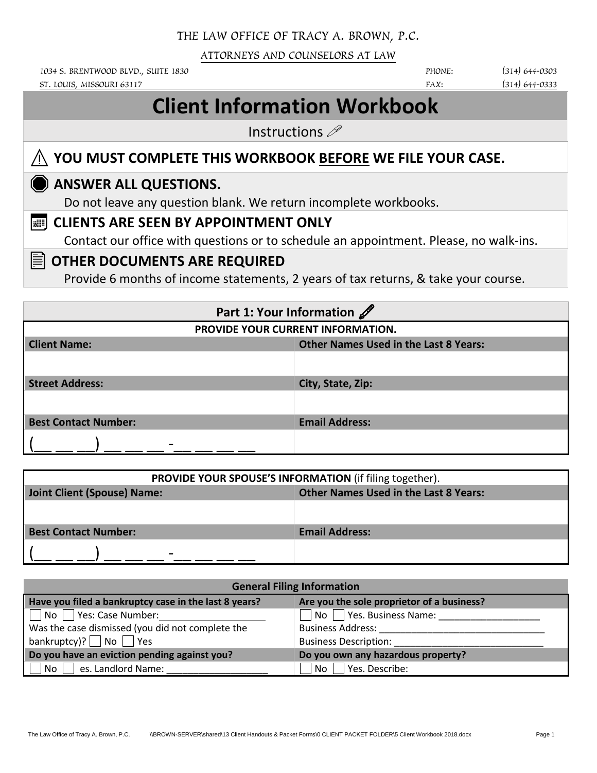### THE LAW OFFICE OF TRACY A. BROWN, P.C.

ATTORNEYS AND COUNSELORS AT LAW

1034 S. BRENTWOOD BLVD., SUITE 1830 **PHONE:** (314) 644-0303

ST. LOUIS, MISSOURI 63117 (314) 644-0333

# **Client Information Workbook**

Instructions  $\mathscr{P}$ 

### ⚠**YOU MUST COMPLETE THIS WORKBOOK BEFORE WE FILE YOUR CASE.**

### **ANSWER ALL QUESTIONS.**

Do not leave any question blank. We return incomplete workbooks.

### **CLIENTS ARE SEEN BY APPOINTMENT ONLY**

Contact our office with questions or to schedule an appointment. Please, no walk-ins.

### **OTHER DOCUMENTS ARE REQUIRED**

Provide 6 months of income statements, 2 years of tax returns, & take your course.

| Part 1: Your Information    |                                              |  |  |  |
|-----------------------------|----------------------------------------------|--|--|--|
|                             | PROVIDE YOUR CURRENT INFORMATION.            |  |  |  |
| <b>Client Name:</b>         | <b>Other Names Used in the Last 8 Years:</b> |  |  |  |
|                             |                                              |  |  |  |
| <b>Street Address:</b>      | City, State, Zip:                            |  |  |  |
|                             |                                              |  |  |  |
| <b>Best Contact Number:</b> | <b>Email Address:</b>                        |  |  |  |
|                             |                                              |  |  |  |

| <b>PROVIDE YOUR SPOUSE'S INFORMATION</b> (if filing together).              |                       |  |  |  |
|-----------------------------------------------------------------------------|-----------------------|--|--|--|
| Joint Client (Spouse) Name:<br><b>Other Names Used in the Last 8 Years:</b> |                       |  |  |  |
|                                                                             |                       |  |  |  |
| <b>Best Contact Number:</b>                                                 | <b>Email Address:</b> |  |  |  |
| -                                                                           |                       |  |  |  |

| <b>General Filing Information</b>                     |                                            |  |  |  |
|-------------------------------------------------------|--------------------------------------------|--|--|--|
| Have you filed a bankruptcy case in the last 8 years? | Are you the sole proprietor of a business? |  |  |  |
| $\Box$ No $\Box$ Yes: Case Number:                    | $\Box$ No $\Box$ Yes. Business Name:       |  |  |  |
| Was the case dismissed (you did not complete the      | <b>Business Address:</b>                   |  |  |  |
| bankruptcy)? No $\Box$ Yes                            | <b>Business Description:</b>               |  |  |  |
| Do you have an eviction pending against you?          | Do you own any hazardous property?         |  |  |  |
| es. Landlord Name:<br>No l                            | Yes. Describe:<br>No.                      |  |  |  |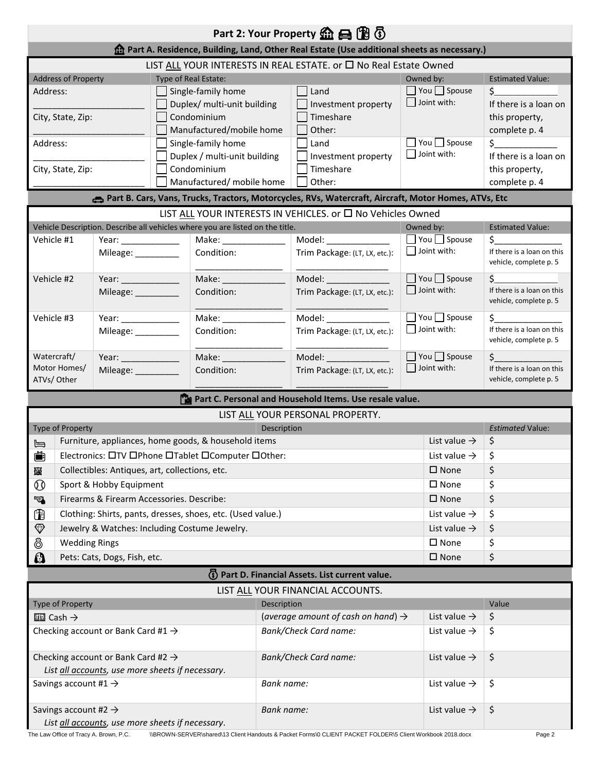|                                                                                                                                             |                                                                                                  |                                                  |                    |                                                                               |                   | Part 2: Your Property <b>the B</b> <sup>(1)</sup> $\odot$                                            |                                         |                                                      |
|---------------------------------------------------------------------------------------------------------------------------------------------|--------------------------------------------------------------------------------------------------|--------------------------------------------------|--------------------|-------------------------------------------------------------------------------|-------------------|------------------------------------------------------------------------------------------------------|-----------------------------------------|------------------------------------------------------|
|                                                                                                                                             |                                                                                                  |                                                  |                    |                                                                               |                   | <b>n</b> Part A. Residence, Building, Land, Other Real Estate (Use additional sheets as necessary.)  |                                         |                                                      |
|                                                                                                                                             |                                                                                                  |                                                  |                    |                                                                               |                   | LIST ALL YOUR INTERESTS IN REAL ESTATE. or □ No Real Estate Owned                                    |                                         |                                                      |
|                                                                                                                                             | <b>Address of Property</b>                                                                       |                                                  |                    | Type of Real Estate:                                                          |                   |                                                                                                      | Owned by:                               | <b>Estimated Value:</b>                              |
|                                                                                                                                             | Address:                                                                                         |                                                  |                    | Single-family home                                                            |                   | Land                                                                                                 | $\Box$ You $\Box$ Spouse<br>Joint with: | \$                                                   |
|                                                                                                                                             |                                                                                                  |                                                  |                    | Duplex/ multi-unit building                                                   |                   | Investment property                                                                                  |                                         | If there is a loan on                                |
|                                                                                                                                             | City, State, Zip:                                                                                |                                                  |                    | Condominium<br>Manufactured/mobile home                                       |                   | Timeshare                                                                                            |                                         | this property,                                       |
| Address:                                                                                                                                    |                                                                                                  |                                                  |                    | Single-family home                                                            |                   | Other:<br>Land                                                                                       | $\Box$ You $\Box$ Spouse                | complete p. 4<br>$\sharp$ and $\sharp$               |
|                                                                                                                                             |                                                                                                  |                                                  |                    | Duplex / multi-unit building                                                  |                   | Investment property                                                                                  | $\Box$ Joint with:                      | If there is a loan on                                |
|                                                                                                                                             | City, State, Zip:                                                                                |                                                  |                    | Condominium                                                                   |                   | Timeshare                                                                                            |                                         | this property,                                       |
|                                                                                                                                             |                                                                                                  |                                                  |                    | Manufactured/ mobile home                                                     |                   | Other:                                                                                               |                                         | complete p. 4                                        |
|                                                                                                                                             |                                                                                                  |                                                  |                    |                                                                               |                   | Part B. Cars, Vans, Trucks, Tractors, Motorcycles, RVs, Watercraft, Aircraft, Motor Homes, ATVs, Etc |                                         |                                                      |
|                                                                                                                                             |                                                                                                  |                                                  |                    |                                                                               |                   | LIST ALL YOUR INTERESTS IN VEHICLES. or □ No Vehicles Owned                                          |                                         |                                                      |
|                                                                                                                                             |                                                                                                  |                                                  |                    | Vehicle Description. Describe all vehicles where you are listed on the title. |                   |                                                                                                      | Owned by:                               | <b>Estimated Value:</b>                              |
|                                                                                                                                             | Vehicle #1                                                                                       | Year: ______________                             |                    | Make: ________________                                                        |                   | Model: _______________                                                                               | $\Box$ You $\Box$ Spouse                | Ś.                                                   |
|                                                                                                                                             |                                                                                                  | Mileage: __________                              |                    | Condition:                                                                    |                   | Trim Package: (LT, LX, etc.):                                                                        | $\Box$ Joint with:                      | If there is a loan on this<br>vehicle, complete p. 5 |
|                                                                                                                                             | Vehicle #2                                                                                       | Year: _______________                            |                    |                                                                               |                   | Model: ______________                                                                                | □ You □ Spouse                          | Ś.                                                   |
|                                                                                                                                             |                                                                                                  | Mileage: ___________                             |                    | Condition:                                                                    |                   | Trim Package: (LT, LX, etc.):                                                                        | $\Box$ Joint with:                      | If there is a loan on this<br>vehicle, complete p. 5 |
|                                                                                                                                             | Vehicle #3                                                                                       | Year: $\qquad \qquad$                            |                    |                                                                               |                   | Model: <b>Model</b>                                                                                  | $\Box$ You $\Box$ Spouse                | \$                                                   |
|                                                                                                                                             |                                                                                                  | Mileage: __________                              |                    | Condition:                                                                    |                   | Trim Package: (LT, LX, etc.):                                                                        | $\Box$ Joint with:                      | If there is a loan on this<br>vehicle, complete p. 5 |
|                                                                                                                                             | Watercraft/                                                                                      |                                                  |                    |                                                                               |                   |                                                                                                      | $\Box$ You $\Box$ Spouse                | Ś.                                                   |
|                                                                                                                                             | Motor Homes/<br>Condition:<br>Mileage: __________<br>Trim Package: (LT, LX, etc.):<br>ATVs/Other |                                                  | $\Box$ Joint with: | If there is a loan on this<br>vehicle, complete p. 5                          |                   |                                                                                                      |                                         |                                                      |
|                                                                                                                                             |                                                                                                  |                                                  |                    |                                                                               |                   | Part C. Personal and Household Items. Use resale value.                                              |                                         |                                                      |
|                                                                                                                                             |                                                                                                  |                                                  |                    |                                                                               |                   | LIST ALL YOUR PERSONAL PROPERTY.                                                                     |                                         |                                                      |
|                                                                                                                                             | <b>Type of Property</b>                                                                          |                                                  |                    |                                                                               | Description       |                                                                                                      |                                         | <b>Estimated Value:</b>                              |
| ⊫                                                                                                                                           |                                                                                                  |                                                  |                    | Furniture, appliances, home goods, & household items                          |                   |                                                                                                      | List value $\rightarrow$                | \$                                                   |
| č                                                                                                                                           |                                                                                                  |                                                  |                    | Electronics: OTV OPhone OTablet OComputer OOther:                             |                   |                                                                                                      | List value $\rightarrow$                | \$                                                   |
| 圎                                                                                                                                           |                                                                                                  | Collectibles: Antiques, art, collections, etc.   |                    |                                                                               |                   |                                                                                                      | $\square$ None                          | \$                                                   |
| $^\circledR$                                                                                                                                |                                                                                                  | Sport & Hobby Equipment                          |                    |                                                                               |                   |                                                                                                      | $\square$ None                          | \$                                                   |
| 阉                                                                                                                                           |                                                                                                  | Firearms & Firearm Accessories. Describe:        |                    |                                                                               |                   |                                                                                                      | $\square$ None                          | \$                                                   |
| $^\circledR$                                                                                                                                |                                                                                                  |                                                  |                    | Clothing: Shirts, pants, dresses, shoes, etc. (Used value.)                   |                   |                                                                                                      | List value $\rightarrow$                | \$                                                   |
| $\circledast$                                                                                                                               |                                                                                                  |                                                  |                    | Jewelry & Watches: Including Costume Jewelry.                                 |                   |                                                                                                      | List value $\rightarrow$                | \$                                                   |
| ලී                                                                                                                                          | <b>Wedding Rings</b>                                                                             |                                                  |                    |                                                                               |                   |                                                                                                      | $\square$ None                          | \$                                                   |
| $\boldsymbol{\Omega}$                                                                                                                       |                                                                                                  | Pets: Cats, Dogs, Fish, etc.                     |                    |                                                                               |                   |                                                                                                      | $\square$ None                          | \$                                                   |
|                                                                                                                                             |                                                                                                  |                                                  |                    |                                                                               |                   | (5) Part D. Financial Assets. List current value.                                                    |                                         |                                                      |
|                                                                                                                                             |                                                                                                  |                                                  |                    |                                                                               |                   | LIST ALL YOUR FINANCIAL ACCOUNTS.                                                                    |                                         |                                                      |
|                                                                                                                                             | Type of Property                                                                                 |                                                  |                    |                                                                               | Description       |                                                                                                      |                                         | Value                                                |
|                                                                                                                                             | $\Box$ Cash $\rightarrow$                                                                        |                                                  |                    |                                                                               |                   | (average amount of cash on hand) $\rightarrow$                                                       | List value $\rightarrow$                | \$                                                   |
|                                                                                                                                             |                                                                                                  | Checking account or Bank Card #1 $\rightarrow$   |                    |                                                                               |                   | <b>Bank/Check Card name:</b>                                                                         | List value $\rightarrow$                | \$                                                   |
|                                                                                                                                             |                                                                                                  | Checking account or Bank Card #2 $\rightarrow$   |                    |                                                                               |                   | <b>Bank/Check Card name:</b>                                                                         | List value $\rightarrow$                | \$                                                   |
|                                                                                                                                             |                                                                                                  | List all accounts, use more sheets if necessary. |                    |                                                                               |                   |                                                                                                      |                                         |                                                      |
|                                                                                                                                             | Savings account #1 $\rightarrow$                                                                 |                                                  |                    |                                                                               | <b>Bank name:</b> |                                                                                                      | List value $\rightarrow$                | \$                                                   |
| \$<br>Savings account #2 $\rightarrow$<br><b>Bank name:</b><br>List value $\rightarrow$<br>List all accounts, use more sheets if necessary. |                                                                                                  |                                                  |                    |                                                                               |                   |                                                                                                      |                                         |                                                      |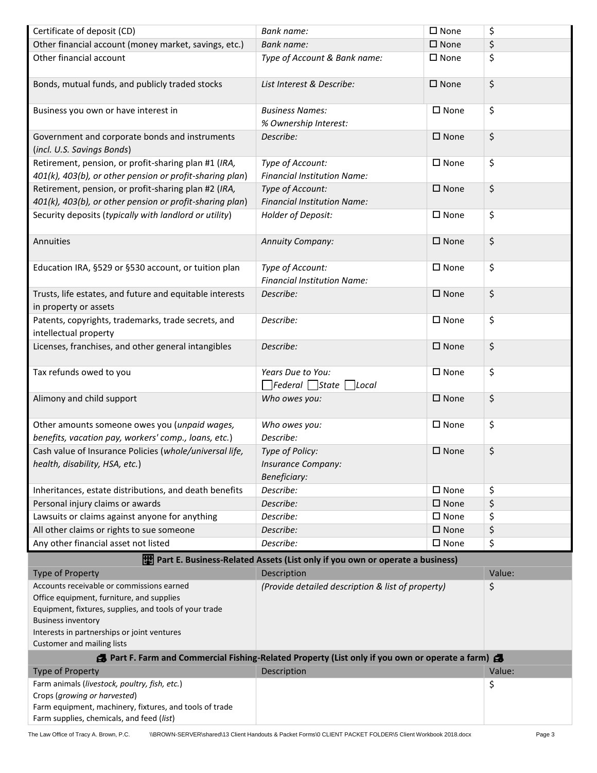| Certificate of deposit (CD)                                                                                      | <b>Bank name:</b>                                                                             | $\square$ None | \$     |
|------------------------------------------------------------------------------------------------------------------|-----------------------------------------------------------------------------------------------|----------------|--------|
| Other financial account (money market, savings, etc.)                                                            | <b>Bank name:</b>                                                                             | $\square$ None | \$     |
| Other financial account                                                                                          | Type of Account & Bank name:                                                                  | $\square$ None | \$     |
| Bonds, mutual funds, and publicly traded stocks                                                                  | List Interest & Describe:                                                                     | $\square$ None | \$     |
| Business you own or have interest in                                                                             | <b>Business Names:</b><br>% Ownership Interest:                                               | $\square$ None | \$     |
| Government and corporate bonds and instruments<br>(incl. U.S. Savings Bonds)                                     | Describe:                                                                                     | $\square$ None | \$     |
| Retirement, pension, or profit-sharing plan #1 (IRA,<br>401(k), 403(b), or other pension or profit-sharing plan) | Type of Account:<br><b>Financial Institution Name:</b>                                        | $\square$ None | \$     |
| Retirement, pension, or profit-sharing plan #2 (IRA,<br>401(k), 403(b), or other pension or profit-sharing plan) | Type of Account:<br><b>Financial Institution Name:</b>                                        | $\square$ None | \$     |
| Security deposits (typically with landlord or utility)                                                           | Holder of Deposit:                                                                            | $\square$ None | \$     |
| Annuities                                                                                                        | <b>Annuity Company:</b>                                                                       | $\square$ None | \$     |
| Education IRA, §529 or §530 account, or tuition plan                                                             | Type of Account:<br><b>Financial Institution Name:</b>                                        | $\square$ None | \$     |
| Trusts, life estates, and future and equitable interests<br>in property or assets                                | Describe:                                                                                     | $\square$ None | \$     |
| Patents, copyrights, trademarks, trade secrets, and<br>intellectual property                                     | Describe:                                                                                     | $\square$ None | \$     |
| Licenses, franchises, and other general intangibles                                                              | Describe:                                                                                     | $\square$ None | \$     |
| Tax refunds owed to you                                                                                          | Years Due to You:<br>$\Box$ Federal $\Box$ State $\Box$ Local                                 | $\square$ None | \$     |
| Alimony and child support                                                                                        | Who owes you:                                                                                 | $\square$ None | \$     |
| Other amounts someone owes you (unpaid wages,<br>benefits, vacation pay, workers' comp., loans, etc.)            | Who owes you:<br>Describe:                                                                    | $\square$ None | \$     |
| Cash value of Insurance Policies (whole/universal life,<br>health, disability, HSA, etc.)                        | Type of Policy:<br>Insurance Company:<br>Beneficiary:                                         | $\square$ None | \$     |
| Inheritances, estate distributions, and death benefits                                                           | Describe:                                                                                     | $\square$ None | \$     |
| Personal injury claims or awards                                                                                 | Describe:                                                                                     | $\square$ None | \$     |
| Lawsuits or claims against anyone for anything                                                                   | Describe:                                                                                     | $\square$ None | \$     |
| All other claims or rights to sue someone                                                                        | Describe:                                                                                     | $\square$ None | \$     |
| Any other financial asset not listed                                                                             | Describe:                                                                                     | $\square$ None | \$     |
|                                                                                                                  | Part E. Business-Related Assets (List only if you own or operate a business)                  |                |        |
| <b>Type of Property</b>                                                                                          | Description                                                                                   |                | Value: |
| Accounts receivable or commissions earned                                                                        | (Provide detailed description & list of property)                                             |                | \$     |
| Office equipment, furniture, and supplies                                                                        |                                                                                               |                |        |
| Equipment, fixtures, supplies, and tools of your trade                                                           |                                                                                               |                |        |
| <b>Business inventory</b><br>Interests in partnerships or joint ventures                                         |                                                                                               |                |        |
| <b>Customer and mailing lists</b>                                                                                |                                                                                               |                |        |
|                                                                                                                  | Part F. Farm and Commercial Fishing-Related Property (List only if you own or operate a farm) |                |        |
| <b>Type of Property</b>                                                                                          | Description                                                                                   |                | Value: |
| Farm animals (livestock, poultry, fish, etc.)                                                                    |                                                                                               |                | \$     |
| Crops (growing or harvested)                                                                                     |                                                                                               |                |        |
| Farm equipment, machinery, fixtures, and tools of trade<br>Farm supplies, chemicals, and feed (list)             |                                                                                               |                |        |
|                                                                                                                  |                                                                                               |                |        |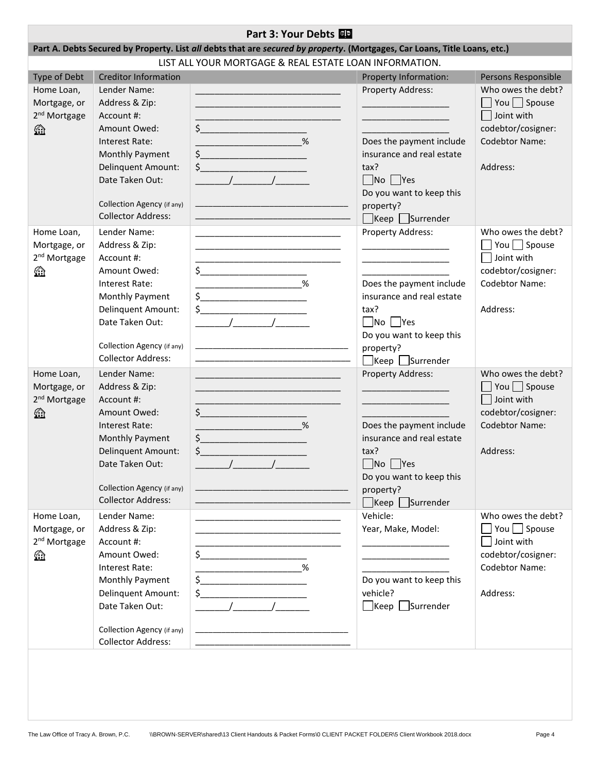| Part 3: Your Debts<br>Part A. Debts Secured by Property. List all debts that are secured by property. (Mortgages, Car Loans, Title Loans, etc.) |                                                                                                                                                                                                       |                                                                                                                                                                                                                                                                                                                                                                                                                                                                                                                                                                                                                                                                                                                                                                                                                                                                                                                                                                    |                                                                                                                                                                                                                                                                                |                                                                                                                         |
|-------------------------------------------------------------------------------------------------------------------------------------------------|-------------------------------------------------------------------------------------------------------------------------------------------------------------------------------------------------------|--------------------------------------------------------------------------------------------------------------------------------------------------------------------------------------------------------------------------------------------------------------------------------------------------------------------------------------------------------------------------------------------------------------------------------------------------------------------------------------------------------------------------------------------------------------------------------------------------------------------------------------------------------------------------------------------------------------------------------------------------------------------------------------------------------------------------------------------------------------------------------------------------------------------------------------------------------------------|--------------------------------------------------------------------------------------------------------------------------------------------------------------------------------------------------------------------------------------------------------------------------------|-------------------------------------------------------------------------------------------------------------------------|
|                                                                                                                                                 |                                                                                                                                                                                                       | LIST ALL YOUR MORTGAGE & REAL ESTATE LOAN INFORMATION.                                                                                                                                                                                                                                                                                                                                                                                                                                                                                                                                                                                                                                                                                                                                                                                                                                                                                                             |                                                                                                                                                                                                                                                                                |                                                                                                                         |
| Type of Debt                                                                                                                                    | <b>Creditor Information</b>                                                                                                                                                                           |                                                                                                                                                                                                                                                                                                                                                                                                                                                                                                                                                                                                                                                                                                                                                                                                                                                                                                                                                                    | Property Information:                                                                                                                                                                                                                                                          | Persons Responsible                                                                                                     |
| Home Loan,<br>Mortgage, or<br>2 <sup>nd</sup> Mortgage<br>6                                                                                     | Lender Name:<br>Address & Zip:<br>Account #:<br>Amount Owed:<br>Interest Rate:<br>Monthly Payment<br>Delinquent Amount:<br>Date Taken Out:<br>Collection Agency (if any)<br><b>Collector Address:</b> | $\sim$<br>%<br>$\frac{1}{2}$<br>$\frac{1}{2}$<br>$\frac{1}{2}$                                                                                                                                                                                                                                                                                                                                                                                                                                                                                                                                                                                                                                                                                                                                                                                                                                                                                                     | Property Address:<br>Does the payment include<br>insurance and real estate<br>tax?<br>$\Box$ No $\Box$ Yes<br>Do you want to keep this<br>property?<br>$\Box$ Keep $\Box$ Surrender                                                                                            | Who owes the debt?<br>$\Box$ You $\Box$ Spouse<br>Joint with<br>codebtor/cosigner:<br><b>Codebtor Name:</b><br>Address: |
| Home Loan,<br>Mortgage, or<br>2 <sup>nd</sup> Mortgage<br>4                                                                                     | Lender Name:<br>Address & Zip:<br>Account #:<br>Amount Owed:<br>Interest Rate:<br>Monthly Payment<br>Delinquent Amount:<br>Date Taken Out:<br>Collection Agency (if any)<br><b>Collector Address:</b> | <u> 1989 - Johann John Stone, mars eta bat eta bat eta bat eta bat eta bat eta bat eta bat eta bat eta bat eta b</u><br>$\frac{1}{2}$<br>$\overbrace{\phantom{aaaaa}}^{\phantom{aaaaa}}$<br>$\begin{picture}(20,10) \put(0,0){\line(1,0){10}} \put(15,0){\line(1,0){10}} \put(15,0){\line(1,0){10}} \put(15,0){\line(1,0){10}} \put(15,0){\line(1,0){10}} \put(15,0){\line(1,0){10}} \put(15,0){\line(1,0){10}} \put(15,0){\line(1,0){10}} \put(15,0){\line(1,0){10}} \put(15,0){\line(1,0){10}} \put(15,0){\line(1,0){10}} \put(15,0){\line(1$<br>$\begin{picture}(20,10) \put(0,0){\line(1,0){10}} \put(15,0){\line(1,0){10}} \put(15,0){\line(1,0){10}} \put(15,0){\line(1,0){10}} \put(15,0){\line(1,0){10}} \put(15,0){\line(1,0){10}} \put(15,0){\line(1,0){10}} \put(15,0){\line(1,0){10}} \put(15,0){\line(1,0){10}} \put(15,0){\line(1,0){10}} \put(15,0){\line(1,0){10}} \put(15,0){\line(1$<br><u> 1980 - Johann John Stone, mars eta biztanleria (</u> | Property Address:<br>Does the payment include<br>insurance and real estate<br>tax?<br>$\Box$ No $\Box$ Yes<br>Do you want to keep this<br>property?<br>$\Box$ Keep $\Box$ Surrender                                                                                            | Who owes the debt?<br>$\Box$ You $\Box$ Spouse<br>Joint with<br>codebtor/cosigner:<br><b>Codebtor Name:</b><br>Address: |
| Home Loan,<br>Mortgage, or<br>2 <sup>nd</sup> Mortgage<br>⚠                                                                                     | Lender Name:<br>Address & Zip:<br>Account #:<br>Amount Owed:<br>Interest Rate:<br>Monthly Payment<br>Delinquent Amount:<br>Date Taken Out:<br>Collection Agency (if any)<br><b>Collector Address:</b> | <u> 1989 - Johann Barbara, martin da basar a shekara 1989 - An tsa a shekara 1989 - An tsa a shekara 1989 - An tsa</u><br><u> 1989 - Johann Barbara, martin amerikan basar dan berasal dan berasal dalam basar dalam basar dalam basar dala</u><br>$\sim$<br>%<br>$\zeta$<br><u> 1980 - Johann Barn, fransk politik fotograf (</u><br>$\frac{1}{2}$<br>$\frac{1}{2}$ $\frac{1}{2}$<br><u> 1989 - Jan James James James James James James James James James James James James James James James James J</u>                                                                                                                                                                                                                                                                                                                                                                                                                                                         | Property Address:<br><u> 1989 - Johann Barbara, martin a</u><br>the control of the control of the control of<br>Does the payment include<br>insurance and real estate<br>tax?<br>$\Box$ No $\Box$ Yes<br>Do you want to keep this<br>property?<br>$\Box$ Keep $\Box$ Surrender | Who owes the debt?<br>$\Box$ You $\Box$ Spouse<br>Joint with<br>codebtor/cosigner:<br><b>Codebtor Name:</b><br>Address: |
| Home Loan,<br>Mortgage, or<br>2 <sup>nd</sup> Mortgage<br>1                                                                                     | Lender Name:<br>Address & Zip:<br>Account #:<br>Amount Owed:<br>Interest Rate:<br>Monthly Payment<br>Delinquent Amount:<br>Date Taken Out:<br>Collection Agency (if any)<br><b>Collector Address:</b> | <u> 1989 - Johann Stoff, Amerikaansk politiker (* 1908)</u><br>$\frac{1}{2}$ $\frac{1}{2}$ $\frac{1}{2}$ $\frac{1}{2}$ $\frac{1}{2}$ $\frac{1}{2}$ $\frac{1}{2}$ $\frac{1}{2}$ $\frac{1}{2}$ $\frac{1}{2}$ $\frac{1}{2}$ $\frac{1}{2}$ $\frac{1}{2}$ $\frac{1}{2}$ $\frac{1}{2}$ $\frac{1}{2}$ $\frac{1}{2}$ $\frac{1}{2}$ $\frac{1}{2}$ $\frac{1}{2}$ $\frac{1}{2}$ $\frac{1}{2}$<br>%<br>$\begin{picture}(20,10) \put(0,0){\line(1,0){10}} \put(15,0){\line(1,0){10}} \put(15,0){\line(1,0){10}} \put(15,0){\line(1,0){10}} \put(15,0){\line(1,0){10}} \put(15,0){\line(1,0){10}} \put(15,0){\line(1,0){10}} \put(15,0){\line(1,0){10}} \put(15,0){\line(1,0){10}} \put(15,0){\line(1,0){10}} \put(15,0){\line(1,0){10}} \put(15,0){\line(1$<br>$\begin{array}{c} \xi \end{array}$<br>$\sqrt{2}$                                                                                                                                                                 | Vehicle:<br>Year, Make, Model:<br><u> 1990 - Johann John Harry Harry Harry Harry Harry Harry Harry Harry Harry Harry Harry Harry Harry Harry Harry</u><br>Do you want to keep this<br>vehicle?<br>$\Box$ Keep $\Box$ Surrender                                                 | Who owes the debt?<br>You $\Box$ Spouse<br>Joint with<br>codebtor/cosigner:<br><b>Codebtor Name:</b><br>Address:        |
|                                                                                                                                                 |                                                                                                                                                                                                       |                                                                                                                                                                                                                                                                                                                                                                                                                                                                                                                                                                                                                                                                                                                                                                                                                                                                                                                                                                    |                                                                                                                                                                                                                                                                                |                                                                                                                         |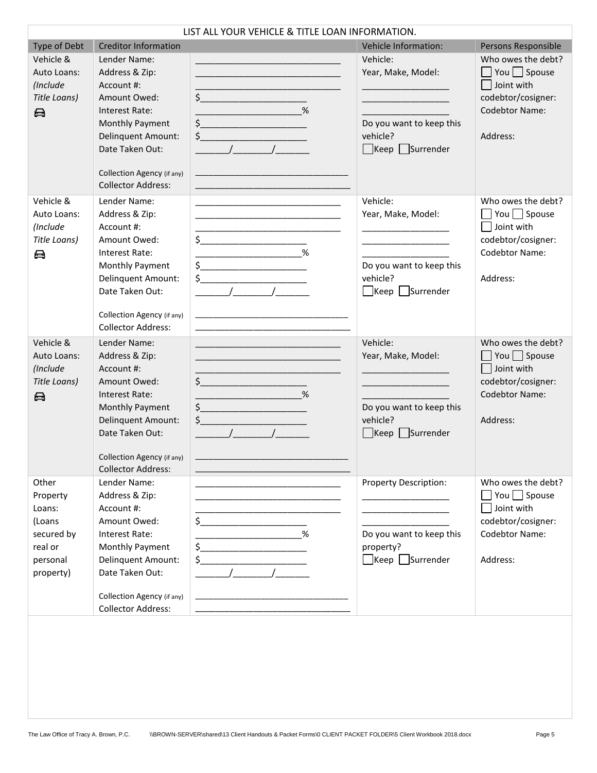|                                                                                         |                                                                                                                                                                                                              | LIST ALL YOUR VEHICLE & TITLE LOAN INFORMATION.                                                                                                                                                                                                                                                                                                                                                                                                                                                                                                                                                                                                                                                                                   |                                                                                                                                                          |                                                                                                                         |
|-----------------------------------------------------------------------------------------|--------------------------------------------------------------------------------------------------------------------------------------------------------------------------------------------------------------|-----------------------------------------------------------------------------------------------------------------------------------------------------------------------------------------------------------------------------------------------------------------------------------------------------------------------------------------------------------------------------------------------------------------------------------------------------------------------------------------------------------------------------------------------------------------------------------------------------------------------------------------------------------------------------------------------------------------------------------|----------------------------------------------------------------------------------------------------------------------------------------------------------|-------------------------------------------------------------------------------------------------------------------------|
| Type of Debt                                                                            | <b>Creditor Information</b>                                                                                                                                                                                  |                                                                                                                                                                                                                                                                                                                                                                                                                                                                                                                                                                                                                                                                                                                                   | <b>Vehicle Information:</b>                                                                                                                              | Persons Responsible                                                                                                     |
| Vehicle &<br>Auto Loans:<br>(Include<br>Title Loans)<br>8                               | Lender Name:<br>Address & Zip:<br>Account #:<br>Amount Owed:<br>Interest Rate:<br>Monthly Payment<br><b>Delinquent Amount:</b><br>Date Taken Out:<br>Collection Agency (if any)<br><b>Collector Address:</b> | $\frac{1}{2}$<br>%<br>$\frac{1}{2}$<br>$\begin{picture}(20,20)(-20,0) \put(0,0){\line(1,0){100}} \put(15,0){\line(1,0){100}} \put(15,0){\line(1,0){100}} \put(15,0){\line(1,0){100}} \put(15,0){\line(1,0){100}} \put(15,0){\line(1,0){100}} \put(15,0){\line(1,0){100}} \put(15,0){\line(1,0){100}} \put(15,0){\line(1,0){100}} \put(15,0){\line(1,0){100}} \put(15,0){\line(1,0$                                                                                                                                                                                                                                                                                                                                                | Vehicle:<br>Year, Make, Model:<br><u> 1989 - Johann Barn, mars eta inperiodo</u><br>Do you want to keep this<br>vehicle?<br>$\Box$ Keep $\Box$ Surrender | Who owes the debt?<br>You Spouse<br>Joint with<br>codebtor/cosigner:<br><b>Codebtor Name:</b><br>Address:               |
| Vehicle &<br>Auto Loans:<br>(Include<br>Title Loans)<br>e                               | Lender Name:<br>Address & Zip:<br>Account #:<br>Amount Owed:<br>Interest Rate:<br>Monthly Payment<br>Delinquent Amount:<br>Date Taken Out:<br>Collection Agency (if any)<br><b>Collector Address:</b>        | $\begin{array}{c c} \n\end{array}$<br>$\begin{picture}(20,10) \put(0,0){\line(1,0){10}} \put(15,0){\line(1,0){10}} \put(15,0){\line(1,0){10}} \put(15,0){\line(1,0){10}} \put(15,0){\line(1,0){10}} \put(15,0){\line(1,0){10}} \put(15,0){\line(1,0){10}} \put(15,0){\line(1,0){10}} \put(15,0){\line(1,0){10}} \put(15,0){\line(1,0){10}} \put(15,0){\line(1,0){10}} \put(15,0){\line(1$<br>$\frac{1}{2}$<br>$\frac{1}{2}$ $\frac{1}{2}$ $\frac{1}{2}$ $\frac{1}{2}$ $\frac{1}{2}$ $\frac{1}{2}$ $\frac{1}{2}$ $\frac{1}{2}$ $\frac{1}{2}$ $\frac{1}{2}$ $\frac{1}{2}$ $\frac{1}{2}$ $\frac{1}{2}$ $\frac{1}{2}$ $\frac{1}{2}$ $\frac{1}{2}$ $\frac{1}{2}$ $\frac{1}{2}$ $\frac{1}{2}$ $\frac{1}{2}$ $\frac{1}{2}$ $\frac{1}{2}$ | Vehicle:<br>Year, Make, Model:<br>Do you want to keep this<br>vehicle?<br>$\Box$ Keep $\Box$ Surrender                                                   | Who owes the debt?<br>You $\Box$ Spouse<br>Joint with<br>codebtor/cosigner:<br><b>Codebtor Name:</b><br>Address:        |
| Vehicle &<br>Auto Loans:<br>(Include<br>Title Loans)<br>8                               | Lender Name:<br>Address & Zip:<br>Account #:<br>Amount Owed:<br>Interest Rate:<br><b>Monthly Payment</b><br>Delinquent Amount:<br>Date Taken Out:<br>Collection Agency (if any)<br><b>Collector Address:</b> | <u> 1980 - Jan James Barnett, fransk politik (d. 1980)</u><br>$\frac{1}{2}$<br>%<br><u> 1989 - Johann Barnett, fransk politik (</u><br>$\begin{array}{c c c c c} \hline \text{S} & \text{S} & \text{S} & \text{S} & \text{S} \\ \hline \end{array}$<br>$\frac{1}{2}$<br>$\frac{1}{2}$ $\frac{1}{2}$ $\frac{1}{2}$ $\frac{1}{2}$ $\frac{1}{2}$ $\frac{1}{2}$ $\frac{1}{2}$ $\frac{1}{2}$ $\frac{1}{2}$ $\frac{1}{2}$ $\frac{1}{2}$ $\frac{1}{2}$ $\frac{1}{2}$ $\frac{1}{2}$ $\frac{1}{2}$ $\frac{1}{2}$ $\frac{1}{2}$ $\frac{1}{2}$ $\frac{1}{2}$ $\frac{1}{2}$ $\frac{1}{2}$ $\frac{1}{2}$                                                                                                                                       | Vehicle:<br>Year, Make, Model:<br>Do you want to keep this<br>vehicle?<br>Keep Surrender                                                                 | Who owes the debt?<br>You $\Box$ Spouse<br>Joint with<br>codebtor/cosigner:<br><b>Codebtor Name:</b><br>Address:        |
| Other<br>Property<br>Loans:<br>(Loans<br>secured by<br>real or<br>personal<br>property) | Lender Name:<br>Address & Zip:<br>Account #:<br>Amount Owed:<br>Interest Rate:<br>Monthly Payment<br>Delinquent Amount:<br>Date Taken Out:<br>Collection Agency (if any)<br><b>Collector Address:</b>        | $\frac{1}{2}$<br>%<br>$\begin{picture}(20,10) \put(0,0){\vector(1,0){100}} \put(15,0){\vector(1,0){100}} \put(15,0){\vector(1,0){100}} \put(15,0){\vector(1,0){100}} \put(15,0){\vector(1,0){100}} \put(15,0){\vector(1,0){100}} \put(15,0){\vector(1,0){100}} \put(15,0){\vector(1,0){100}} \put(15,0){\vector(1,0){100}} \put(15,0){\vector(1,0){100}} \put(15,0){\vector(1,0){100}} \$<br>$\begin{array}{c} \xi \end{array}$<br>$\frac{1}{\sqrt{1-\frac{1}{2}}}$                                                                                                                                                                                                                                                               | <b>Property Description:</b><br>Do you want to keep this<br>property?<br>$\Box$ Keep $\Box$ Surrender                                                    | Who owes the debt?<br>$\Box$ You $\Box$ Spouse<br>Joint with<br>codebtor/cosigner:<br><b>Codebtor Name:</b><br>Address: |
|                                                                                         |                                                                                                                                                                                                              |                                                                                                                                                                                                                                                                                                                                                                                                                                                                                                                                                                                                                                                                                                                                   |                                                                                                                                                          |                                                                                                                         |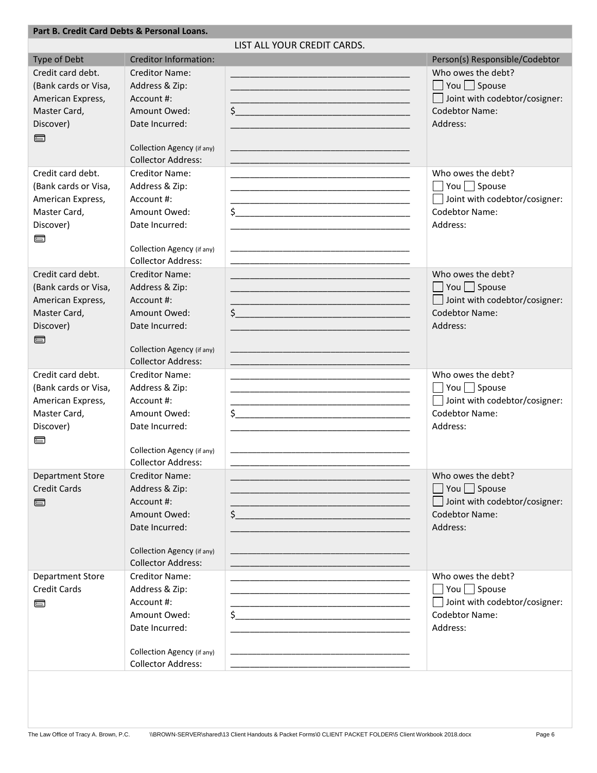#### **Part B. Credit Card Debts & Personal Loans.**

LIST ALL YOUR CREDIT CARDS.

| Type of Debt                              | <b>Creditor Information:</b>                            |                                                                                                                        | Person(s) Responsible/Codebtor                     |
|-------------------------------------------|---------------------------------------------------------|------------------------------------------------------------------------------------------------------------------------|----------------------------------------------------|
| Credit card debt.                         | <b>Creditor Name:</b>                                   |                                                                                                                        | Who owes the debt?                                 |
| (Bank cards or Visa,                      | Address & Zip:                                          |                                                                                                                        | $\Box$ You $\Box$ Spouse                           |
| American Express,                         | Account #:                                              |                                                                                                                        | Joint with codebtor/cosigner:                      |
| Master Card,                              | Amount Owed:                                            | $\zeta$                                                                                                                | <b>Codebtor Name:</b>                              |
| Discover)                                 | Date Incurred:                                          |                                                                                                                        | Address:                                           |
| e                                         |                                                         |                                                                                                                        |                                                    |
|                                           | Collection Agency (if any)                              |                                                                                                                        |                                                    |
|                                           | <b>Collector Address:</b>                               | <u> 1989 - Johann Barbara, martin amerikan basar dan berasal dan berasal dalam basar dalam basar dalam basar dala</u>  |                                                    |
| Credit card debt.                         | <b>Creditor Name:</b>                                   |                                                                                                                        | Who owes the debt?                                 |
| (Bank cards or Visa,                      | Address & Zip:                                          |                                                                                                                        | $\Box$ You $\Box$ Spouse                           |
| American Express,                         | Account #:                                              |                                                                                                                        | Joint with codebtor/cosigner:                      |
| Master Card,                              | Amount Owed:                                            | $\frac{1}{2}$                                                                                                          | <b>Codebtor Name:</b>                              |
| Discover)                                 | Date Incurred:                                          |                                                                                                                        | Address:                                           |
| 冒                                         |                                                         |                                                                                                                        |                                                    |
|                                           | Collection Agency (if any)                              |                                                                                                                        |                                                    |
|                                           | <b>Collector Address:</b>                               |                                                                                                                        |                                                    |
| Credit card debt.                         | <b>Creditor Name:</b>                                   | <u> 1989 - Johann Barbara, margaret eta idazlea (h. 1989).</u>                                                         | Who owes the debt?                                 |
| (Bank cards or Visa,                      | Address & Zip:                                          | <u> 1980 - Johann Barbara, martin amerikan basar dan berasal dari berasal dalam basar dalam basar dalam basar dala</u> | $\Box$ You $\Box$ Spouse                           |
| American Express,                         | Account #:                                              |                                                                                                                        | Joint with codebtor/cosigner:                      |
| Master Card,                              | Amount Owed:                                            | $\frac{1}{2}$                                                                                                          | <b>Codebtor Name:</b>                              |
| Discover)                                 | Date Incurred:                                          |                                                                                                                        | Address:                                           |
| 冒                                         |                                                         |                                                                                                                        |                                                    |
|                                           | Collection Agency (if any)                              |                                                                                                                        |                                                    |
|                                           | <b>Collector Address:</b>                               |                                                                                                                        |                                                    |
| Credit card debt.                         | <b>Creditor Name:</b>                                   |                                                                                                                        | Who owes the debt?                                 |
| (Bank cards or Visa,<br>American Express, | Address & Zip:<br>Account #:                            |                                                                                                                        | You $\Box$ Spouse<br>Joint with codebtor/cosigner: |
| Master Card,                              | Amount Owed:                                            | $\frac{1}{2}$                                                                                                          | <b>Codebtor Name:</b>                              |
| Discover)                                 | Date Incurred:                                          |                                                                                                                        | Address:                                           |
| 冒                                         |                                                         |                                                                                                                        |                                                    |
|                                           | Collection Agency (if any)                              |                                                                                                                        |                                                    |
|                                           | <b>Collector Address:</b>                               |                                                                                                                        |                                                    |
| <b>Department Store</b>                   | <b>Creditor Name:</b>                                   |                                                                                                                        | Who owes the debt?                                 |
| <b>Credit Cards</b>                       | Address & Zip:                                          |                                                                                                                        | $\Box$ You $\Box$ Spouse                           |
| 冒                                         | Account #:                                              |                                                                                                                        | $\Box$ Joint with codebtor/cosigner:               |
|                                           | Amount Owed:                                            | \$<br><u> 1980 - Johann John Stone, mars eta biztanleria (</u>                                                         | <b>Codebtor Name:</b>                              |
|                                           | Date Incurred:                                          |                                                                                                                        | Address:                                           |
|                                           |                                                         |                                                                                                                        |                                                    |
|                                           | Collection Agency (if any)                              |                                                                                                                        |                                                    |
|                                           | <b>Collector Address:</b>                               |                                                                                                                        |                                                    |
| Department Store                          | <b>Creditor Name:</b>                                   |                                                                                                                        | Who owes the debt?                                 |
| <b>Credit Cards</b>                       | Address & Zip:                                          |                                                                                                                        | $\Box$ You $\Box$ Spouse                           |
| e                                         | Account #:                                              |                                                                                                                        | Joint with codebtor/cosigner:                      |
|                                           | Amount Owed:                                            |                                                                                                                        | Codebtor Name:                                     |
|                                           | Date Incurred:                                          |                                                                                                                        | Address:                                           |
|                                           |                                                         |                                                                                                                        |                                                    |
|                                           | Collection Agency (if any)<br><b>Collector Address:</b> |                                                                                                                        |                                                    |
|                                           |                                                         |                                                                                                                        |                                                    |
|                                           |                                                         |                                                                                                                        |                                                    |
|                                           |                                                         |                                                                                                                        |                                                    |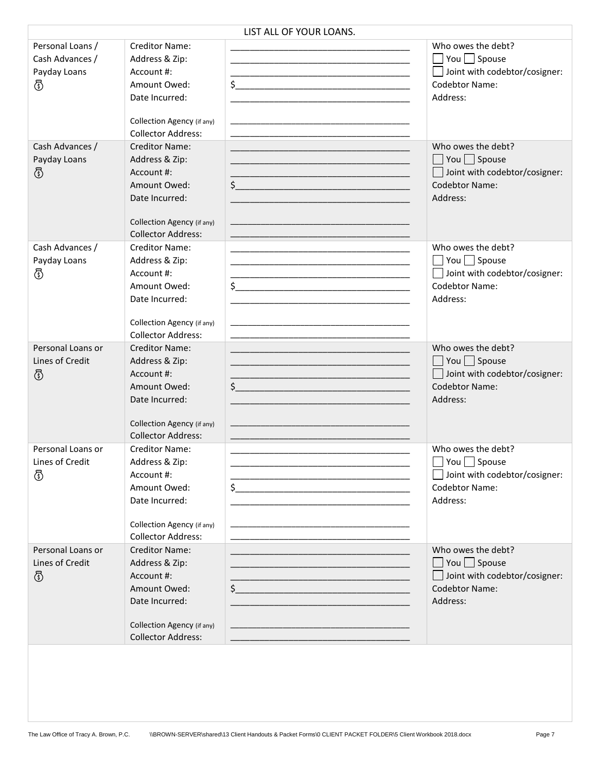|                                                          |                                                                                                                                                    | LIST ALL OF YOUR LOANS.                                                                                                                |                                                                                                                      |
|----------------------------------------------------------|----------------------------------------------------------------------------------------------------------------------------------------------------|----------------------------------------------------------------------------------------------------------------------------------------|----------------------------------------------------------------------------------------------------------------------|
| Personal Loans /<br>Cash Advances /<br>Payday Loans<br>ℰ | <b>Creditor Name:</b><br>Address & Zip:<br>Account #:<br>Amount Owed:<br>Date Incurred:<br>Collection Agency (if any)<br><b>Collector Address:</b> | $\frac{1}{2}$                                                                                                                          | Who owes the debt?<br>You $\Box$ Spouse<br>Joint with codebtor/cosigner:<br><b>Codebtor Name:</b><br>Address:        |
| Cash Advances /<br>Payday Loans<br>ගී                    | <b>Creditor Name:</b><br>Address & Zip:<br>Account #:<br>Amount Owed:<br>Date Incurred:<br>Collection Agency (if any)<br><b>Collector Address:</b> | $\frac{1}{2}$                                                                                                                          | Who owes the debt?<br>$\Box$ You $\Box$ Spouse<br>Joint with codebtor/cosigner:<br><b>Codebtor Name:</b><br>Address: |
| Cash Advances /<br>Payday Loans<br>ගී                    | <b>Creditor Name:</b><br>Address & Zip:<br>Account #:<br>Amount Owed:<br>Date Incurred:<br>Collection Agency (if any)<br><b>Collector Address:</b> |                                                                                                                                        | Who owes the debt?<br>You $\Box$ Spouse<br>Joint with codebtor/cosigner:<br>Codebtor Name:<br>Address:               |
| Personal Loans or<br>Lines of Credit<br>ගී               | <b>Creditor Name:</b><br>Address & Zip:<br>Account #:<br>Amount Owed:<br>Date Incurred:<br>Collection Agency (if any)<br><b>Collector Address:</b> | $\frac{1}{2}$                                                                                                                          | Who owes the debt?<br>$\Box$ You $\Box$ Spouse<br>Joint with codebtor/cosigner:<br><b>Codebtor Name:</b><br>Address: |
| Personal Loans or<br>Lines of Credit<br>ගී               | <b>Creditor Name:</b><br>Address & Zip:<br>Account #:<br>Amount Owed:<br>Date Incurred:<br>Collection Agency (if any)<br><b>Collector Address:</b> | $\frac{1}{2}$                                                                                                                          | Who owes the debt?<br>$\Box$ You $\Box$ Spouse<br>Joint with codebtor/cosigner:<br>Codebtor Name:<br>Address:        |
| Personal Loans or<br>Lines of Credit<br>ගී               | <b>Creditor Name:</b><br>Address & Zip:<br>Account #:<br>Amount Owed:<br>Date Incurred:<br>Collection Agency (if any)<br><b>Collector Address:</b> | <u> 1989 - Johann John Stoff, deutscher Stoffen und der Stoffen und der Stoffen und der Stoffen und der Stoffen u</u><br>$\frac{1}{2}$ | Who owes the debt?<br>$\Box$ You $\Box$ Spouse<br>Joint with codebtor/cosigner:<br><b>Codebtor Name:</b><br>Address: |
|                                                          |                                                                                                                                                    |                                                                                                                                        |                                                                                                                      |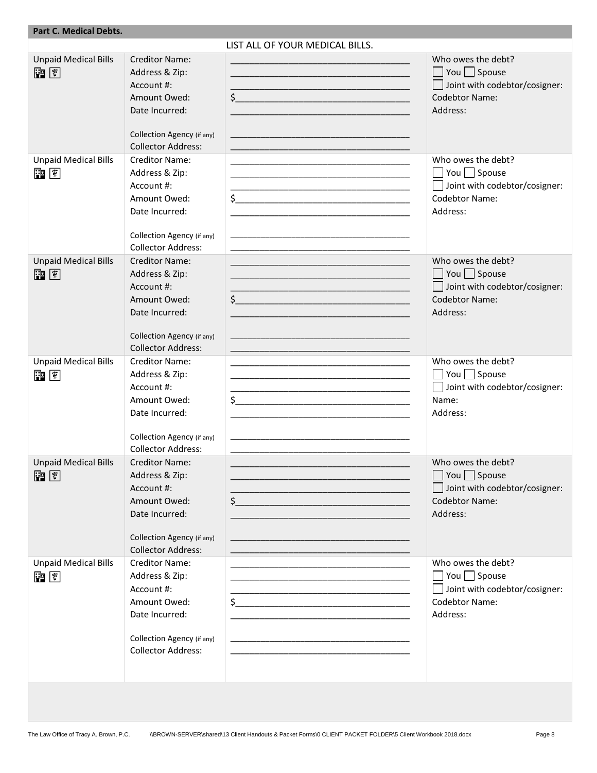| <b>Part C. Medical Debts.</b>     |                                                                                                                                                    |                                                                                                                                                                                                                                                                                                                                                                                                                             |                                                                                                                      |
|-----------------------------------|----------------------------------------------------------------------------------------------------------------------------------------------------|-----------------------------------------------------------------------------------------------------------------------------------------------------------------------------------------------------------------------------------------------------------------------------------------------------------------------------------------------------------------------------------------------------------------------------|----------------------------------------------------------------------------------------------------------------------|
|                                   |                                                                                                                                                    | LIST ALL OF YOUR MEDICAL BILLS.                                                                                                                                                                                                                                                                                                                                                                                             |                                                                                                                      |
| <b>Unpaid Medical Bills</b><br>雷国 | <b>Creditor Name:</b><br>Address & Zip:<br>Account #:<br>Amount Owed:<br>Date Incurred:<br>Collection Agency (if any)<br><b>Collector Address:</b> | $\zeta$<br><u> 1989 - Johann John Stone, markin film yn y brenin y brenin y brenin y brenin y brenin y brenin y brenin y br</u><br><u> 1980 - Johann John Stein, marwolaeth a bhannaich an t-Amhair an t-Amhair an t-Amhair an t-Amhair an t-Amhair a</u>                                                                                                                                                                   | Who owes the debt?<br>$\Box$ You $\Box$ Spouse<br>Joint with codebtor/cosigner:<br>Codebtor Name:<br>Address:        |
| <b>Unpaid Medical Bills</b><br>雷国 | <b>Creditor Name:</b><br>Address & Zip:<br>Account #:<br>Amount Owed:<br>Date Incurred:<br>Collection Agency (if any)<br><b>Collector Address:</b> | $\frac{1}{2}$<br><u> 1989 - Johann Stoff, Amerikaansk politiker (* 1908)</u>                                                                                                                                                                                                                                                                                                                                                | Who owes the debt?<br>$\Box$ You $\Box$ Spouse<br>Joint with codebtor/cosigner:<br>Codebtor Name:<br>Address:        |
| <b>Unpaid Medical Bills</b><br>雷国 | <b>Creditor Name:</b><br>Address & Zip:<br>Account #:<br>Amount Owed:<br>Date Incurred:<br>Collection Agency (if any)<br><b>Collector Address:</b> | $\frac{1}{2}$<br><u> 1989 - Johann John Stone, meilich aus der Stone († 1908)</u>                                                                                                                                                                                                                                                                                                                                           | Who owes the debt?<br>$\Box$ You $\Box$ Spouse<br>Joint with codebtor/cosigner:<br><b>Codebtor Name:</b><br>Address: |
| <b>Unpaid Medical Bills</b><br>雷国 | <b>Creditor Name:</b><br>Address & Zip:<br>Account #:<br>Amount Owed:<br>Date Incurred:<br>Collection Agency (if any)<br><b>Collector Address:</b> | <u> 1989 - Johann John Stone, mars et al. (1989)</u><br>$\begin{picture}(20,10) \put(0,0){\vector(1,0){100}} \put(15,0){\vector(1,0){100}} \put(15,0){\vector(1,0){100}} \put(15,0){\vector(1,0){100}} \put(15,0){\vector(1,0){100}} \put(15,0){\vector(1,0){100}} \put(15,0){\vector(1,0){100}} \put(15,0){\vector(1,0){100}} \put(15,0){\vector(1,0){100}} \put(15,0){\vector(1,0){100}} \put(15,0){\vector(1,0){100}} \$ | Who owes the debt?<br>$\Box$ You $\Box$ Spouse<br>Joint with codebtor/cosigner:<br>Name:<br>Address:                 |
| <b>Unpaid Medical Bills</b><br>副国 | Creditor Name:<br>Address & Zip:<br>Account #:<br>Amount Owed:<br>Date Incurred:<br>Collection Agency (if any)<br><b>Collector Address:</b>        | $\frac{1}{2}$                                                                                                                                                                                                                                                                                                                                                                                                               | Who owes the debt?<br>You $\Box$ Spouse<br>Joint with codebtor/cosigner:<br>Codebtor Name:<br>Address:               |
| <b>Unpaid Medical Bills</b><br>雷国 | Creditor Name:<br>Address & Zip:<br>Account #:<br>Amount Owed:<br>Date Incurred:<br>Collection Agency (if any)<br><b>Collector Address:</b>        | $\frac{1}{2}$                                                                                                                                                                                                                                                                                                                                                                                                               | Who owes the debt?<br>$\Box$ You $\Box$ Spouse<br>Joint with codebtor/cosigner:<br><b>Codebtor Name:</b><br>Address: |
|                                   |                                                                                                                                                    |                                                                                                                                                                                                                                                                                                                                                                                                                             |                                                                                                                      |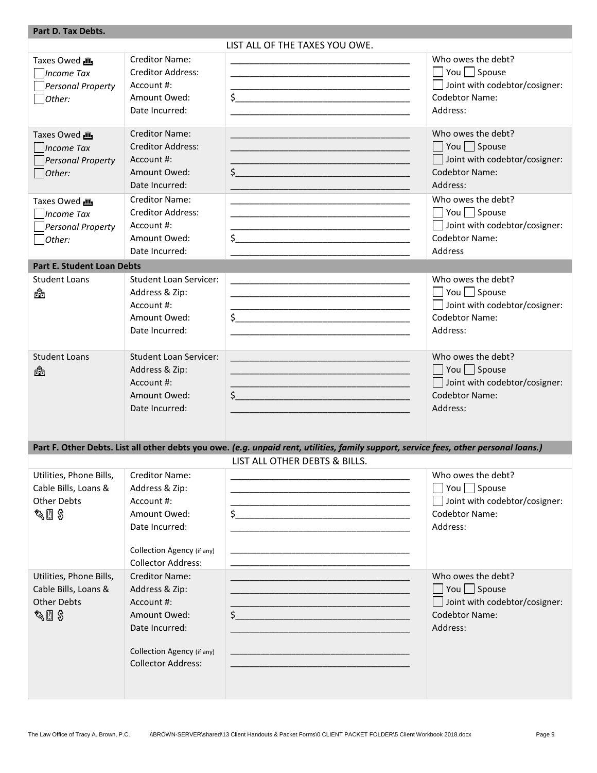| Part D. Tax Debts.                                                             |                                                                                                                                                    |                                                                                                                                                                                                                                                                                                                                                                                                                             |                                                                                                                            |
|--------------------------------------------------------------------------------|----------------------------------------------------------------------------------------------------------------------------------------------------|-----------------------------------------------------------------------------------------------------------------------------------------------------------------------------------------------------------------------------------------------------------------------------------------------------------------------------------------------------------------------------------------------------------------------------|----------------------------------------------------------------------------------------------------------------------------|
|                                                                                |                                                                                                                                                    | LIST ALL OF THE TAXES YOU OWE.                                                                                                                                                                                                                                                                                                                                                                                              |                                                                                                                            |
| Taxes Owed<br>Income Tax<br>$\Box$ Personal Property<br>Other:                 | <b>Creditor Name:</b><br><b>Creditor Address:</b><br>Account #:<br>Amount Owed:<br>Date Incurred:                                                  | <u> 1989 - Johann Barbara, margaret eta idazlea (h. 1989).</u><br>$\frac{1}{2}$                                                                                                                                                                                                                                                                                                                                             | Who owes the debt?<br>$\Box$ You $\Box$ Spouse<br>Joint with codebtor/cosigner:<br><b>Codebtor Name:</b><br>Address:       |
| Taxes Owed<br>Income Tax<br>Personal Property<br>Other:                        | <b>Creditor Name:</b><br><b>Creditor Address:</b><br>Account #:<br>Amount Owed:<br>Date Incurred:                                                  | <u> 1989 - Johann John Stone, market fan de Amerikaanske kommunister fan de Amerikaanske kommunister fan de Amerika</u><br>$\zeta$                                                                                                                                                                                                                                                                                          | Who owes the debt?<br>$\Box$ You $\Box$ Spouse<br>Joint with codebtor/cosigner:<br><b>Codebtor Name:</b><br>Address:       |
| Taxes Owed<br>Income Tax<br>$\Box$ Personal Property<br>$\Box$ Other:          | <b>Creditor Name:</b><br><b>Creditor Address:</b><br>Account #:<br>Amount Owed:<br>Date Incurred:                                                  | $\frac{1}{2}$                                                                                                                                                                                                                                                                                                                                                                                                               | Who owes the debt?<br>$\Box$ You $\Box$ Spouse<br>Joint with codebtor/cosigner:<br><b>Codebtor Name:</b><br><b>Address</b> |
| <b>Part E. Student Loan Debts</b>                                              |                                                                                                                                                    |                                                                                                                                                                                                                                                                                                                                                                                                                             |                                                                                                                            |
| <b>Student Loans</b><br>å                                                      | <b>Student Loan Servicer:</b><br>Address & Zip:<br>Account #:<br>Amount Owed:<br>Date Incurred:                                                    | <u> 1989 - Johann John Stone, mars et al. (1989)</u><br>$\begin{picture}(20,10) \put(0,0){\vector(1,0){100}} \put(15,0){\vector(1,0){100}} \put(15,0){\vector(1,0){100}} \put(15,0){\vector(1,0){100}} \put(15,0){\vector(1,0){100}} \put(15,0){\vector(1,0){100}} \put(15,0){\vector(1,0){100}} \put(15,0){\vector(1,0){100}} \put(15,0){\vector(1,0){100}} \put(15,0){\vector(1,0){100}} \put(15,0){\vector(1,0){100}} \$ | Who owes the debt?<br>$\Box$ You $\Box$ Spouse<br>Joint with codebtor/cosigner:<br><b>Codebtor Name:</b><br>Address:       |
| <b>Student Loans</b><br>ĥ                                                      | <b>Student Loan Servicer:</b><br>Address & Zip:<br>Account #:<br>Amount Owed:<br>Date Incurred:                                                    | <u> 1999 - Johann Harry Harry Harry Harry Harry Harry Harry Harry Harry Harry Harry Harry Harry Harry Harry Harry</u><br>$\frac{1}{2}$                                                                                                                                                                                                                                                                                      | Who owes the debt?<br>$\Box$ You $\Box$ Spouse<br>□ Joint with codebtor/cosigner:<br><b>Codebtor Name:</b><br>Address:     |
|                                                                                |                                                                                                                                                    | Part F. Other Debts. List all other debts you owe. (e.g. unpaid rent, utilities, family support, service fees, other personal loans.)                                                                                                                                                                                                                                                                                       |                                                                                                                            |
|                                                                                |                                                                                                                                                    | LIST ALL OTHER DEBTS & BILLS.                                                                                                                                                                                                                                                                                                                                                                                               |                                                                                                                            |
| Utilities, Phone Bills,<br>Cable Bills, Loans &<br><b>Other Debts</b><br>◇ 圓 多 | <b>Creditor Name:</b><br>Address & Zip:<br>Account #:<br>Amount Owed:<br>Date Incurred:<br>Collection Agency (if any)<br><b>Collector Address:</b> | $\ddot{\mathsf{S}}$<br><u> 1989 - Johann John Stone, markin fan it fjort fan it fjort fan it fjort fan it fjort fan it fjort fan it fjort</u>                                                                                                                                                                                                                                                                               | Who owes the debt?<br>You $\Box$ Spouse<br>Joint with codebtor/cosigner:<br><b>Codebtor Name:</b><br>Address:              |
| Utilities, Phone Bills,<br>Cable Bills, Loans &<br><b>Other Debts</b><br>◇ 圓 多 | <b>Creditor Name:</b><br>Address & Zip:<br>Account #:<br>Amount Owed:<br>Date Incurred:<br>Collection Agency (if any)<br><b>Collector Address:</b> | $\frac{1}{2}$                                                                                                                                                                                                                                                                                                                                                                                                               | Who owes the debt?<br>$\Box$ You $\Box$ Spouse<br>Joint with codebtor/cosigner:<br><b>Codebtor Name:</b><br>Address:       |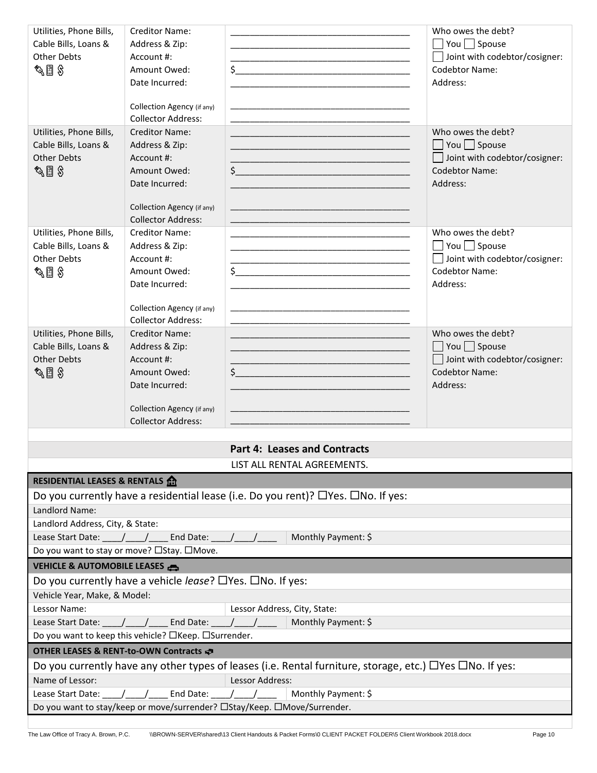| Utilities, Phone Bills,                                                  | <b>Creditor Name:</b>                      |                              |                                                                                                                        | Who owes the debt?                   |  |  |
|--------------------------------------------------------------------------|--------------------------------------------|------------------------------|------------------------------------------------------------------------------------------------------------------------|--------------------------------------|--|--|
| Cable Bills, Loans &                                                     | Address & Zip:                             |                              |                                                                                                                        | $\Box$ You $\Box$ Spouse             |  |  |
| <b>Other Debts</b>                                                       | Account #:                                 |                              |                                                                                                                        | Joint with codebtor/cosigner:        |  |  |
| $\mathscr{E} \boxplus \mathscr{E}$                                       | Amount Owed:                               |                              | $\frac{1}{2}$                                                                                                          | <b>Codebtor Name:</b>                |  |  |
|                                                                          | Date Incurred:                             |                              | <u> 1989 - Johann John Stone, mars et al. 1989 - John Stone, mars et al. 1989 - John Stone, mars et al. 1989 - Joh</u> | Address:                             |  |  |
|                                                                          | Collection Agency (if any)                 |                              |                                                                                                                        |                                      |  |  |
|                                                                          | <b>Collector Address:</b>                  |                              |                                                                                                                        |                                      |  |  |
| Utilities, Phone Bills,                                                  | <b>Creditor Name:</b>                      |                              |                                                                                                                        | Who owes the debt?                   |  |  |
| Cable Bills, Loans &                                                     | Address & Zip:                             |                              |                                                                                                                        | $\Box$ You $\Box$ Spouse             |  |  |
| <b>Other Debts</b>                                                       | Account #:                                 |                              |                                                                                                                        | Joint with codebtor/cosigner:        |  |  |
| � ∭ Տ                                                                    | Amount Owed:                               |                              | $\mathsf{S}$                                                                                                           | <b>Codebtor Name:</b>                |  |  |
|                                                                          | Date Incurred:                             |                              |                                                                                                                        | Address:                             |  |  |
|                                                                          | Collection Agency (if any)                 |                              |                                                                                                                        |                                      |  |  |
|                                                                          | <b>Collector Address:</b>                  |                              |                                                                                                                        |                                      |  |  |
| Utilities, Phone Bills,                                                  | <b>Creditor Name:</b>                      |                              |                                                                                                                        | Who owes the debt?                   |  |  |
| Cable Bills, Loans &                                                     | Address & Zip:                             |                              |                                                                                                                        | $\Box$ You $\Box$ Spouse             |  |  |
| <b>Other Debts</b>                                                       | Account #:                                 |                              |                                                                                                                        | $\Box$ Joint with codebtor/cosigner: |  |  |
| $\mathscr{E} \boxplus \mathscr{E}$                                       | Amount Owed:                               |                              | $\frac{1}{2}$                                                                                                          | <b>Codebtor Name:</b>                |  |  |
|                                                                          | Date Incurred:                             |                              |                                                                                                                        | Address:                             |  |  |
|                                                                          | Collection Agency (if any)                 |                              |                                                                                                                        |                                      |  |  |
|                                                                          | <b>Collector Address:</b>                  |                              |                                                                                                                        |                                      |  |  |
| Utilities, Phone Bills,                                                  | <b>Creditor Name:</b>                      |                              |                                                                                                                        | Who owes the debt?                   |  |  |
| Cable Bills, Loans &                                                     | Address & Zip:                             |                              |                                                                                                                        | $\Box$ You $\Box$ Spouse             |  |  |
| <b>Other Debts</b>                                                       | Account #:                                 |                              |                                                                                                                        | Joint with codebtor/cosigner:        |  |  |
| ⊗ 圓 多                                                                    | Amount Owed:<br>Date Incurred:             |                              | $\zeta$                                                                                                                | <b>Codebtor Name:</b><br>Address:    |  |  |
|                                                                          |                                            |                              |                                                                                                                        |                                      |  |  |
|                                                                          | Collection Agency (if any)                 |                              |                                                                                                                        |                                      |  |  |
|                                                                          | <b>Collector Address:</b>                  |                              |                                                                                                                        |                                      |  |  |
|                                                                          |                                            |                              |                                                                                                                        |                                      |  |  |
| <b>Part 4: Leases and Contracts</b>                                      |                                            |                              |                                                                                                                        |                                      |  |  |
| LIST ALL RENTAL AGREEMENTS.<br><b>RESIDENTIAL LEASES &amp; RENTALS A</b> |                                            |                              |                                                                                                                        |                                      |  |  |
|                                                                          |                                            |                              | Do you currently have a residential lease (i.e. Do you rent)? $\Box$ Yes. $\Box$ No. If yes:                           |                                      |  |  |
| Landlord Name:                                                           |                                            |                              |                                                                                                                        |                                      |  |  |
| Landlord Address, City, & State:                                         |                                            |                              |                                                                                                                        |                                      |  |  |
| Lease Start Date:                                                        | End Date: $\frac{1}{\sqrt{1-\frac{1}{2}}}$ |                              | Monthly Payment: \$                                                                                                    |                                      |  |  |
|                                                                          | Do you want to stay or move? □Stay. □Move. |                              |                                                                                                                        |                                      |  |  |
| VEHICLE & AUTOMOBILE LEASES                                              |                                            |                              |                                                                                                                        |                                      |  |  |
| Do you currently have a vehicle lease? □Yes. □No. If yes:                |                                            |                              |                                                                                                                        |                                      |  |  |
| Vehicle Year, Make, & Model:                                             |                                            |                              |                                                                                                                        |                                      |  |  |
| Lessor Name:                                                             |                                            | Lessor Address, City, State: |                                                                                                                        |                                      |  |  |
| Lease Start Date:                                                        | End Date:                                  |                              | Monthly Payment: \$                                                                                                    |                                      |  |  |
| Do you want to keep this vehicle? □Keep. □Surrender.                     |                                            |                              |                                                                                                                        |                                      |  |  |
| OTHER LEASES & RENT-to-OWN Contracts                                     |                                            |                              |                                                                                                                        |                                      |  |  |
|                                                                          |                                            |                              | Do you currently have any other types of leases (i.e. Rental furniture, storage, etc.) $\Box$ Yes $\Box$ No. If yes:   |                                      |  |  |
| Name of Lessor:                                                          |                                            | Lessor Address:              |                                                                                                                        |                                      |  |  |
| Lease Start Date:                                                        | End Date:                                  |                              | Monthly Payment: \$                                                                                                    |                                      |  |  |
| Do you want to stay/keep or move/surrender? □Stay/Keep. □Move/Surrender. |                                            |                              |                                                                                                                        |                                      |  |  |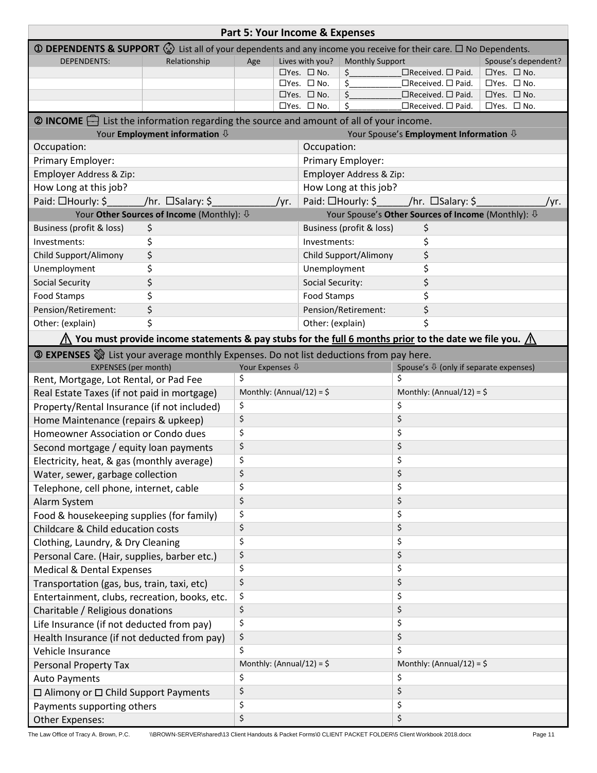| Part 5: Your Income & Expenses                                                                                                                |                                                                                                                                    |                            |                                                                                                                    |                                                   |                                                        |                                                                |                                                  |  |
|-----------------------------------------------------------------------------------------------------------------------------------------------|------------------------------------------------------------------------------------------------------------------------------------|----------------------------|--------------------------------------------------------------------------------------------------------------------|---------------------------------------------------|--------------------------------------------------------|----------------------------------------------------------------|--------------------------------------------------|--|
| <b>① DEPENDENTS &amp; SUPPORT</b> $\binom{n}{2}$ List all of your dependents and any income you receive for their care. $\Box$ No Dependents. |                                                                                                                                    |                            |                                                                                                                    |                                                   |                                                        |                                                                |                                                  |  |
| <b>DEPENDENTS:</b>                                                                                                                            | Relationship                                                                                                                       | Age                        | Lives with you?                                                                                                    |                                                   | <b>Monthly Support</b>                                 |                                                                | Spouse's dependent?                              |  |
|                                                                                                                                               |                                                                                                                                    |                            | $\Box$ Yes. $\Box$ No.                                                                                             |                                                   | \$                                                     | □Received. □ Paid.                                             | $\Box$ Yes. $\Box$ No.                           |  |
|                                                                                                                                               |                                                                                                                                    |                            | $\square$ Yes. $\square$ No.                                                                                       |                                                   | \$                                                     | $\Box$ Received. $\Box$ Paid.                                  | $\Box$ Yes. $\Box$ No.                           |  |
|                                                                                                                                               |                                                                                                                                    |                            | $\Box$ Yes. $\Box$ No.<br>$\Box$ Yes. $\Box$ No.                                                                   |                                                   | \$.<br>\$                                              | $\Box$ Received. $\Box$ Paid.<br>$\Box$ Received. $\Box$ Paid. | $\Box$ Yes. $\Box$ No.<br>$\Box$ Yes. $\Box$ No. |  |
|                                                                                                                                               |                                                                                                                                    |                            |                                                                                                                    |                                                   |                                                        |                                                                |                                                  |  |
| $\circled{2}$ <b>INCOME</b> $\rightarrow$ List the information regarding the source and amount of all of your income.                         | Your Employment information $\mathbb Q$                                                                                            |                            |                                                                                                                    |                                                   |                                                        |                                                                |                                                  |  |
|                                                                                                                                               |                                                                                                                                    |                            |                                                                                                                    |                                                   | Your Spouse's Employment Information $\overline{\psi}$ |                                                                |                                                  |  |
| Occupation:                                                                                                                                   |                                                                                                                                    |                            | Occupation:<br>Primary Employer:                                                                                   |                                                   |                                                        |                                                                |                                                  |  |
| Primary Employer:                                                                                                                             |                                                                                                                                    |                            |                                                                                                                    |                                                   |                                                        |                                                                |                                                  |  |
| Employer Address & Zip:<br>How Long at this job?                                                                                              |                                                                                                                                    |                            |                                                                                                                    | Employer Address & Zip:                           |                                                        |                                                                |                                                  |  |
| Paid: □Hourly: \$                                                                                                                             | /hr. $\square$ Salary: \$                                                                                                          |                            |                                                                                                                    | How Long at this job?                             |                                                        |                                                                |                                                  |  |
|                                                                                                                                               | Your Other Sources of Income (Monthly): $\sqrt[1]{v}$                                                                              |                            | Paid: □Hourly: \$<br>$/$ hr. □Salary: \$<br>/yr.<br>Your Spouse's Other Sources of Income (Monthly): $\sqrt[1]{ }$ |                                                   |                                                        | /yr.                                                           |                                                  |  |
| Business (profit & loss)                                                                                                                      | \$                                                                                                                                 |                            |                                                                                                                    |                                                   | Business (profit & loss)                               |                                                                |                                                  |  |
| Investments:                                                                                                                                  | \$                                                                                                                                 |                            |                                                                                                                    |                                                   |                                                        | \$                                                             |                                                  |  |
| Child Support/Alimony                                                                                                                         | \$                                                                                                                                 |                            |                                                                                                                    | \$<br>Investments:<br>\$<br>Child Support/Alimony |                                                        |                                                                |                                                  |  |
|                                                                                                                                               |                                                                                                                                    |                            |                                                                                                                    |                                                   |                                                        |                                                                |                                                  |  |
| Unemployment                                                                                                                                  | \$                                                                                                                                 |                            |                                                                                                                    | Unemployment                                      |                                                        | \$<br>\$                                                       |                                                  |  |
| <b>Social Security</b>                                                                                                                        | \$                                                                                                                                 |                            |                                                                                                                    | Social Security:                                  |                                                        |                                                                |                                                  |  |
| Food Stamps                                                                                                                                   | \$                                                                                                                                 |                            |                                                                                                                    | \$<br>Food Stamps                                 |                                                        |                                                                |                                                  |  |
| Pension/Retirement:                                                                                                                           | \$                                                                                                                                 |                            |                                                                                                                    | \$<br>Pension/Retirement:                         |                                                        |                                                                |                                                  |  |
| Ś<br>Other: (explain)                                                                                                                         |                                                                                                                                    |                            |                                                                                                                    | Other: (explain)                                  |                                                        | Ś                                                              |                                                  |  |
|                                                                                                                                               | $\bigwedge$ You must provide income statements & pay stubs for the <u>full 6 months prior</u> to the date we file you. $\bigwedge$ |                            |                                                                                                                    |                                                   |                                                        |                                                                |                                                  |  |
| <b>3 EXPENSES</b> a List your average monthly Expenses. Do not list deductions from pay here.                                                 |                                                                                                                                    |                            |                                                                                                                    |                                                   |                                                        |                                                                |                                                  |  |
| <b>EXPENSES</b> (per month)                                                                                                                   |                                                                                                                                    | Your Expenses $\sqrt{1}$   |                                                                                                                    |                                                   |                                                        | Spouse's $\sqrt[n]{ }$ (only if separate expenses)             |                                                  |  |
| Rent, Mortgage, Lot Rental, or Pad Fee                                                                                                        |                                                                                                                                    | Ś                          |                                                                                                                    | Ś                                                 |                                                        |                                                                |                                                  |  |
| Real Estate Taxes (if not paid in mortgage)                                                                                                   |                                                                                                                                    | Monthly: (Annual/12) = $$$ |                                                                                                                    |                                                   | Monthly: (Annual/12) = $$$                             |                                                                |                                                  |  |
| Property/Rental Insurance (if not included)                                                                                                   |                                                                                                                                    | \$                         |                                                                                                                    |                                                   | \$<br>\$                                               |                                                                |                                                  |  |
| Home Maintenance (repairs & upkeep)                                                                                                           |                                                                                                                                    | \$                         |                                                                                                                    |                                                   |                                                        |                                                                |                                                  |  |
| Homeowner Association or Condo dues                                                                                                           |                                                                                                                                    | \$                         |                                                                                                                    |                                                   | \$                                                     |                                                                |                                                  |  |
| Second mortgage / equity loan payments                                                                                                        |                                                                                                                                    | \$                         |                                                                                                                    |                                                   | \$                                                     |                                                                |                                                  |  |
| Electricity, heat, & gas (monthly average)                                                                                                    |                                                                                                                                    | \$                         |                                                                                                                    |                                                   | Ś                                                      |                                                                |                                                  |  |
| Water, sewer, garbage collection                                                                                                              |                                                                                                                                    | \$                         |                                                                                                                    |                                                   | \$                                                     |                                                                |                                                  |  |
| Telephone, cell phone, internet, cable                                                                                                        |                                                                                                                                    | \$                         |                                                                                                                    | \$                                                |                                                        |                                                                |                                                  |  |
| Alarm System                                                                                                                                  |                                                                                                                                    | \$                         |                                                                                                                    | \$<br>\$                                          |                                                        |                                                                |                                                  |  |
| Food & housekeeping supplies (for family)                                                                                                     |                                                                                                                                    | \$                         |                                                                                                                    |                                                   |                                                        |                                                                |                                                  |  |
| Childcare & Child education costs                                                                                                             |                                                                                                                                    | \$                         |                                                                                                                    |                                                   | \$                                                     |                                                                |                                                  |  |
| Clothing, Laundry, & Dry Cleaning                                                                                                             |                                                                                                                                    | \$                         |                                                                                                                    |                                                   | \$                                                     |                                                                |                                                  |  |
| Personal Care. (Hair, supplies, barber etc.)                                                                                                  |                                                                                                                                    | \$                         |                                                                                                                    |                                                   | \$                                                     |                                                                |                                                  |  |
| <b>Medical &amp; Dental Expenses</b>                                                                                                          |                                                                                                                                    | \$                         |                                                                                                                    |                                                   | \$                                                     |                                                                |                                                  |  |
| Transportation (gas, bus, train, taxi, etc)                                                                                                   |                                                                                                                                    | \$                         |                                                                                                                    |                                                   | \$                                                     |                                                                |                                                  |  |
| Entertainment, clubs, recreation, books, etc.                                                                                                 |                                                                                                                                    | \$                         |                                                                                                                    |                                                   | \$                                                     |                                                                |                                                  |  |
| Charitable / Religious donations                                                                                                              |                                                                                                                                    | \$                         |                                                                                                                    |                                                   | \$                                                     |                                                                |                                                  |  |
| Life Insurance (if not deducted from pay)                                                                                                     |                                                                                                                                    | \$                         |                                                                                                                    |                                                   | \$                                                     |                                                                |                                                  |  |
| Health Insurance (if not deducted from pay)                                                                                                   |                                                                                                                                    | \$                         |                                                                                                                    |                                                   | \$                                                     |                                                                |                                                  |  |
| Vehicle Insurance                                                                                                                             |                                                                                                                                    | Ś                          |                                                                                                                    | \$                                                |                                                        |                                                                |                                                  |  |
| Personal Property Tax                                                                                                                         |                                                                                                                                    | Monthly: (Annual/12) = $$$ |                                                                                                                    | Monthly: (Annual/12) = $\frac{1}{2}$              |                                                        |                                                                |                                                  |  |
| <b>Auto Payments</b>                                                                                                                          |                                                                                                                                    | \$                         |                                                                                                                    |                                                   | \$                                                     |                                                                |                                                  |  |
| $\Box$ Alimony or $\Box$ Child Support Payments                                                                                               |                                                                                                                                    | \$                         |                                                                                                                    |                                                   | \$                                                     |                                                                |                                                  |  |
| Payments supporting others                                                                                                                    |                                                                                                                                    | \$                         |                                                                                                                    |                                                   | \$                                                     |                                                                |                                                  |  |
| Other Expenses:                                                                                                                               |                                                                                                                                    | \$                         |                                                                                                                    |                                                   | \$                                                     |                                                                |                                                  |  |

The Law Office of Tracy A. Brown, P.C. \\BROWN-SERVER\shared\13 Client Handouts & Packet Forms\0 CLIENT PACKET FOLDER\5 Client Workbook 2018.docx Page 11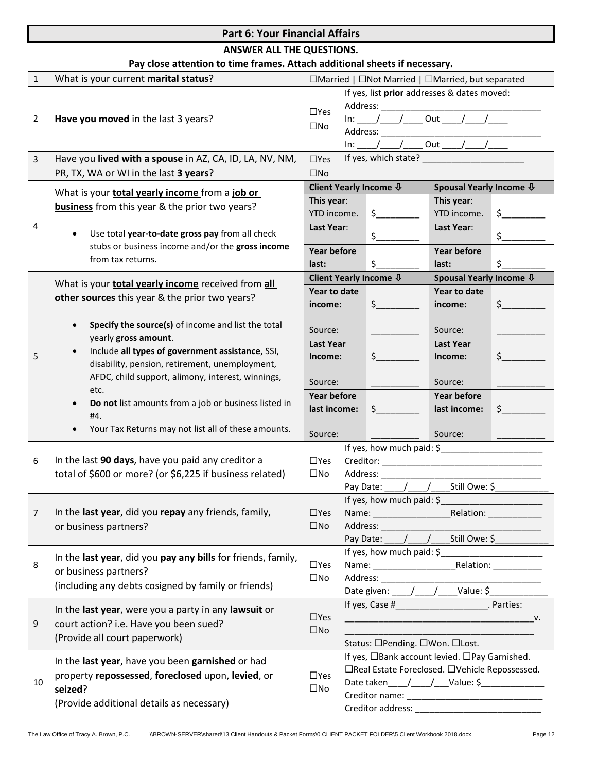| <b>Part 6: Your Financial Affairs</b> |                                                                                                                                                                                                                                                        |                                                                                                                                                                                                                                                                                                                                                                                                                        |                                                      |  |  |  |  |
|---------------------------------------|--------------------------------------------------------------------------------------------------------------------------------------------------------------------------------------------------------------------------------------------------------|------------------------------------------------------------------------------------------------------------------------------------------------------------------------------------------------------------------------------------------------------------------------------------------------------------------------------------------------------------------------------------------------------------------------|------------------------------------------------------|--|--|--|--|
| ANSWER ALL THE QUESTIONS.             |                                                                                                                                                                                                                                                        |                                                                                                                                                                                                                                                                                                                                                                                                                        |                                                      |  |  |  |  |
|                                       | Pay close attention to time frames. Attach additional sheets if necessary.                                                                                                                                                                             |                                                                                                                                                                                                                                                                                                                                                                                                                        |                                                      |  |  |  |  |
| $\mathbf{1}$                          | What is your current marital status?                                                                                                                                                                                                                   | □Married   □Not Married   □Married, but separated                                                                                                                                                                                                                                                                                                                                                                      |                                                      |  |  |  |  |
|                                       |                                                                                                                                                                                                                                                        | If yes, list prior addresses & dates moved:<br>$\Box$ Yes                                                                                                                                                                                                                                                                                                                                                              |                                                      |  |  |  |  |
| 2                                     | Have you moved in the last 3 years?                                                                                                                                                                                                                    | $\ln \frac{1}{\ln 1}$ out $\frac{1}{\ln 1}$<br>$\square$ No                                                                                                                                                                                                                                                                                                                                                            |                                                      |  |  |  |  |
|                                       |                                                                                                                                                                                                                                                        | $\ln\left[\frac{1}{1-\frac{1}{1-\frac{1}{1-\frac{1}{1-\frac{1}{1-\frac{1}{1-\frac{1}{1-\frac{1}{1-\frac{1}{1-\frac{1}{1-\frac{1}{1-\frac{1}{1-\frac{1}{1-\frac{1}{1-\frac{1}{1-\frac{1}{1-\frac{1}{1-\frac{1}{1-\frac{1}{1-\frac{1}{1-\frac{1}{1-\frac{1}{1-\frac{1}{1-\frac{1}{1-\frac{1}{1-\frac{1}{1-\frac{1}{1-\frac{1}{1-\frac{1}{1-\frac{1}{1-\frac{1}{1-\frac{1}{1-\frac{1}{1-\frac{1}{1-\frac{1}{1-\frac{1}{1$ |                                                      |  |  |  |  |
| 3                                     | Have you lived with a spouse in AZ, CA, ID, LA, NV, NM,                                                                                                                                                                                                | $\Box$ Yes                                                                                                                                                                                                                                                                                                                                                                                                             |                                                      |  |  |  |  |
| PR, TX, WA or WI in the last 3 years? |                                                                                                                                                                                                                                                        | $\square$ No                                                                                                                                                                                                                                                                                                                                                                                                           |                                                      |  |  |  |  |
|                                       | What is your <b>total yearly income</b> from a job or<br><b>business</b> from this year & the prior two years?<br>Use total year-to-date gross pay from all check<br>stubs or business income and/or the gross income                                  | Client Yearly Income $\overline{\Psi}$<br>Spousal Yearly Income $\Phi$                                                                                                                                                                                                                                                                                                                                                 |                                                      |  |  |  |  |
|                                       |                                                                                                                                                                                                                                                        | This year:<br>This year:                                                                                                                                                                                                                                                                                                                                                                                               |                                                      |  |  |  |  |
| 4                                     |                                                                                                                                                                                                                                                        | $\zeta$<br>YTD income.<br>YTD income.<br>$\zeta$<br>Last Year:<br>Last Year:                                                                                                                                                                                                                                                                                                                                           |                                                      |  |  |  |  |
|                                       |                                                                                                                                                                                                                                                        | $\zeta_{-}$<br>$\zeta$                                                                                                                                                                                                                                                                                                                                                                                                 |                                                      |  |  |  |  |
|                                       | from tax returns.                                                                                                                                                                                                                                      | <b>Year before</b><br><b>Year before</b>                                                                                                                                                                                                                                                                                                                                                                               |                                                      |  |  |  |  |
|                                       |                                                                                                                                                                                                                                                        | \$<br>\$<br>last:<br>last:<br>Client Yearly Income $\overline{\Psi}$<br>Spousal Yearly Income $\overline{\Psi}$                                                                                                                                                                                                                                                                                                        |                                                      |  |  |  |  |
|                                       | What is your total yearly income received from all                                                                                                                                                                                                     | Year to date<br>Year to date                                                                                                                                                                                                                                                                                                                                                                                           |                                                      |  |  |  |  |
|                                       | other sources this year & the prior two years?                                                                                                                                                                                                         | $\zeta$<br>$\zeta$<br>income:<br>income:                                                                                                                                                                                                                                                                                                                                                                               |                                                      |  |  |  |  |
|                                       |                                                                                                                                                                                                                                                        |                                                                                                                                                                                                                                                                                                                                                                                                                        |                                                      |  |  |  |  |
|                                       | Specify the source(s) of income and list the total                                                                                                                                                                                                     | Source:<br>Source:                                                                                                                                                                                                                                                                                                                                                                                                     |                                                      |  |  |  |  |
|                                       | yearly gross amount.<br>Include all types of government assistance, SSI,<br>disability, pension, retirement, unemployment,<br>AFDC, child support, alimony, interest, winnings,<br>etc.<br>Do not list amounts from a job or business listed in<br>#4. | <b>Last Year</b><br><b>Last Year</b>                                                                                                                                                                                                                                                                                                                                                                                   |                                                      |  |  |  |  |
| 5                                     |                                                                                                                                                                                                                                                        | $\zeta$<br>Income:<br>Income:                                                                                                                                                                                                                                                                                                                                                                                          |                                                      |  |  |  |  |
|                                       |                                                                                                                                                                                                                                                        | Source:<br>Source:                                                                                                                                                                                                                                                                                                                                                                                                     |                                                      |  |  |  |  |
|                                       |                                                                                                                                                                                                                                                        | <b>Year before</b><br><b>Year before</b>                                                                                                                                                                                                                                                                                                                                                                               |                                                      |  |  |  |  |
|                                       |                                                                                                                                                                                                                                                        | $\zeta$<br>last income:<br>$\sharp$<br>last income:                                                                                                                                                                                                                                                                                                                                                                    |                                                      |  |  |  |  |
|                                       | Your Tax Returns may not list all of these amounts.                                                                                                                                                                                                    | Source:<br>Source:                                                                                                                                                                                                                                                                                                                                                                                                     |                                                      |  |  |  |  |
|                                       | In the last 90 days, have you paid any creditor a                                                                                                                                                                                                      | If yes, how much paid: \$                                                                                                                                                                                                                                                                                                                                                                                              |                                                      |  |  |  |  |
|                                       |                                                                                                                                                                                                                                                        | $\square$ No                                                                                                                                                                                                                                                                                                                                                                                                           |                                                      |  |  |  |  |
|                                       | total of \$600 or more? (or \$6,225 if business related)                                                                                                                                                                                               |                                                                                                                                                                                                                                                                                                                                                                                                                        |                                                      |  |  |  |  |
|                                       |                                                                                                                                                                                                                                                        | Pay Date: \_____/ _____/ ______ Still Owe: \$______________<br>If yes, how much paid: \$                                                                                                                                                                                                                                                                                                                               |                                                      |  |  |  |  |
| 7                                     | In the last year, did you repay any friends, family,                                                                                                                                                                                                   | $\Box$ Yes                                                                                                                                                                                                                                                                                                                                                                                                             |                                                      |  |  |  |  |
|                                       | or business partners?                                                                                                                                                                                                                                  | $\square$ No                                                                                                                                                                                                                                                                                                                                                                                                           |                                                      |  |  |  |  |
|                                       |                                                                                                                                                                                                                                                        |                                                                                                                                                                                                                                                                                                                                                                                                                        | Pay Date: ____/____/______Still Owe: \$_____________ |  |  |  |  |
| 8                                     | In the last year, did you pay any bills for friends, family,                                                                                                                                                                                           |                                                                                                                                                                                                                                                                                                                                                                                                                        |                                                      |  |  |  |  |
|                                       | or business partners?                                                                                                                                                                                                                                  | $\Box$ Yes                                                                                                                                                                                                                                                                                                                                                                                                             |                                                      |  |  |  |  |
|                                       | (including any debts cosigned by family or friends)                                                                                                                                                                                                    | $\square$ No                                                                                                                                                                                                                                                                                                                                                                                                           |                                                      |  |  |  |  |
|                                       |                                                                                                                                                                                                                                                        |                                                                                                                                                                                                                                                                                                                                                                                                                        |                                                      |  |  |  |  |
|                                       | In the last year, were you a party in any lawsuit or                                                                                                                                                                                                   | If yes, Case #_________________________. Parties:<br>$\Box$ Yes                                                                                                                                                                                                                                                                                                                                                        |                                                      |  |  |  |  |
| 9                                     | court action? i.e. Have you been sued?                                                                                                                                                                                                                 | $\square$ No                                                                                                                                                                                                                                                                                                                                                                                                           |                                                      |  |  |  |  |
|                                       | (Provide all court paperwork)                                                                                                                                                                                                                          | Status: □Pending. □Won. □Lost.                                                                                                                                                                                                                                                                                                                                                                                         |                                                      |  |  |  |  |
|                                       | In the last year, have you been garnished or had                                                                                                                                                                                                       | If yes, □Bank account levied. □Pay Garnished.                                                                                                                                                                                                                                                                                                                                                                          |                                                      |  |  |  |  |
|                                       | property repossessed, foreclosed upon, levied, or                                                                                                                                                                                                      | $\Box$ Yes                                                                                                                                                                                                                                                                                                                                                                                                             | □Real Estate Foreclosed. □Vehicle Repossessed.       |  |  |  |  |
| 10                                    | seized?                                                                                                                                                                                                                                                | Date taken_____/_____/____Value: \$_______________<br>$\square$ No                                                                                                                                                                                                                                                                                                                                                     |                                                      |  |  |  |  |
|                                       | (Provide additional details as necessary)                                                                                                                                                                                                              |                                                                                                                                                                                                                                                                                                                                                                                                                        |                                                      |  |  |  |  |
|                                       |                                                                                                                                                                                                                                                        |                                                                                                                                                                                                                                                                                                                                                                                                                        |                                                      |  |  |  |  |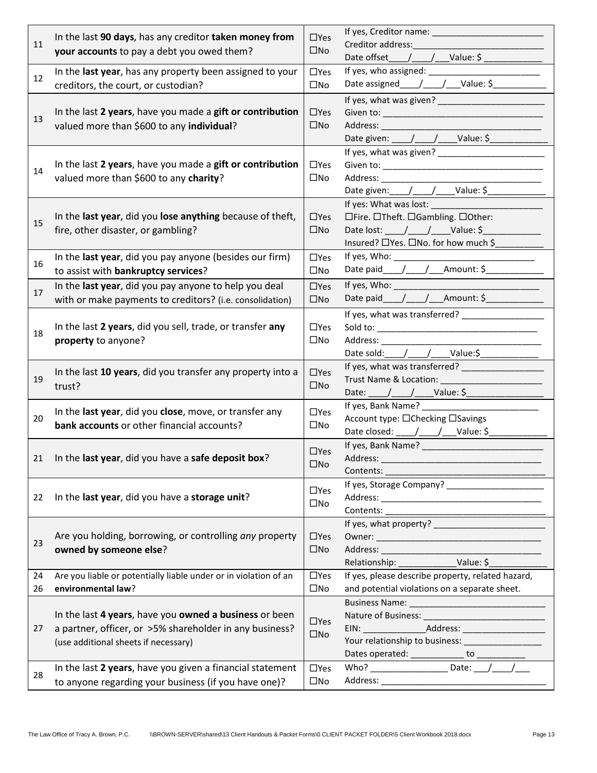|    | In the last 90 days, has any creditor taken money from<br>11<br>your accounts to pay a debt you owed them?                                                |              |                                                       |  |  |
|----|-----------------------------------------------------------------------------------------------------------------------------------------------------------|--------------|-------------------------------------------------------|--|--|
|    |                                                                                                                                                           |              | Creditor address: The Creditor and The Creditor       |  |  |
|    |                                                                                                                                                           |              | Date offset______/______/____Value: \$ ______________ |  |  |
|    | In the last year, has any property been assigned to your                                                                                                  | $\Box$ Yes   |                                                       |  |  |
| 12 | creditors, the court, or custodian?                                                                                                                       | $\square$ No | Date assigned $\_\_\_\_\_\_\_\_\_\_\_\_\_\_\_\_\_$    |  |  |
|    |                                                                                                                                                           |              |                                                       |  |  |
|    | In the last 2 years, have you made a gift or contribution                                                                                                 | $\Box$ Yes   |                                                       |  |  |
| 13 | valued more than \$600 to any individual?                                                                                                                 | $\square$ No |                                                       |  |  |
|    |                                                                                                                                                           |              | Date given: ____/____/____Value: \$_____________      |  |  |
|    |                                                                                                                                                           |              |                                                       |  |  |
| 14 | In the last 2 years, have you made a gift or contribution                                                                                                 | $\Box$ Yes   |                                                       |  |  |
|    |                                                                                                                                                           | $\square$ No |                                                       |  |  |
|    | valued more than \$600 to any charity?                                                                                                                    |              |                                                       |  |  |
|    |                                                                                                                                                           |              | Date given: /__/__/___Value: \$___________            |  |  |
|    |                                                                                                                                                           | $\Box$ Yes   |                                                       |  |  |
| 15 | In the last year, did you lose anything because of theft,                                                                                                 |              | □Fire. □Theft. □Gambling. □Other:                     |  |  |
|    | fire, other disaster, or gambling?                                                                                                                        | $\square$ No | Date lost: ____/____/_____Value: \$__                 |  |  |
|    |                                                                                                                                                           |              | Insured? □ Yes. □ No. for how much \$                 |  |  |
| 16 | In the last year, did you pay anyone (besides our firm)                                                                                                   | $\Box$ Yes   | If yes, Who: ________________                         |  |  |
|    | to assist with bankruptcy services?                                                                                                                       | $\square$ No | Date paid_____/_____/____Amount: \$______________     |  |  |
|    | In the last year, did you pay anyone to help you deal                                                                                                     | $\Box$ Yes   |                                                       |  |  |
| 17 | with or make payments to creditors? (i.e. consolidation)                                                                                                  | $\square$ No | Date paid_____/_____/____Amount: \$______________     |  |  |
|    |                                                                                                                                                           |              | If yes, what was transferred? ___________________     |  |  |
|    | In the last 2 years, did you sell, trade, or transfer any                                                                                                 | $\Box$ Yes   |                                                       |  |  |
| 18 | property to anyone?                                                                                                                                       |              |                                                       |  |  |
|    |                                                                                                                                                           | $\square$ No | Date sold: // // _/ _/ ___ Value:\$                   |  |  |
|    |                                                                                                                                                           |              |                                                       |  |  |
| 19 | In the last 10 years, did you transfer any property into a<br>trust?                                                                                      | $\Box$ Yes   |                                                       |  |  |
|    |                                                                                                                                                           | $\square$ No |                                                       |  |  |
|    |                                                                                                                                                           |              | If yes, Bank Name?                                    |  |  |
| 20 | In the last year, did you close, move, or transfer any<br>bank accounts or other financial accounts?                                                      |              | Account type: □Checking □Savings                      |  |  |
|    |                                                                                                                                                           |              | Date closed: ____/____/___Value: \$___________        |  |  |
|    |                                                                                                                                                           |              |                                                       |  |  |
|    |                                                                                                                                                           | $\Box$ Yes   |                                                       |  |  |
| 21 | In the last year, did you have a safe deposit box?                                                                                                        | $\square$ No |                                                       |  |  |
|    |                                                                                                                                                           |              | Contents:                                             |  |  |
|    |                                                                                                                                                           | $\Box$ Yes   | If yes, Storage Company? ______________________       |  |  |
| 22 | In the last year, did you have a storage unit?                                                                                                            |              |                                                       |  |  |
|    |                                                                                                                                                           |              |                                                       |  |  |
|    |                                                                                                                                                           | $\Box$ Yes   |                                                       |  |  |
| 23 | Are you holding, borrowing, or controlling any property<br>owned by someone else?                                                                         |              |                                                       |  |  |
|    |                                                                                                                                                           |              | Address: ________________                             |  |  |
|    |                                                                                                                                                           |              |                                                       |  |  |
| 24 | Are you liable or potentially liable under or in violation of an                                                                                          | $\Box$ Yes   | If yes, please describe property, related hazard,     |  |  |
| 26 | environmental law?                                                                                                                                        | $\square$ No | and potential violations on a separate sheet.         |  |  |
|    | In the last 4 years, have you owned a business or been<br>a partner, officer, or >5% shareholder in any business?<br>(use additional sheets if necessary) |              |                                                       |  |  |
|    |                                                                                                                                                           |              |                                                       |  |  |
| 27 |                                                                                                                                                           |              |                                                       |  |  |
|    |                                                                                                                                                           |              | Your relationship to business: ____________________   |  |  |
|    |                                                                                                                                                           |              | Dates operated: ______________ to ___________         |  |  |
|    | In the last 2 years, have you given a financial statement                                                                                                 | $\Box$ Yes   |                                                       |  |  |
| 28 | to anyone regarding your business (if you have one)?                                                                                                      |              |                                                       |  |  |
|    |                                                                                                                                                           | $\square$ No |                                                       |  |  |